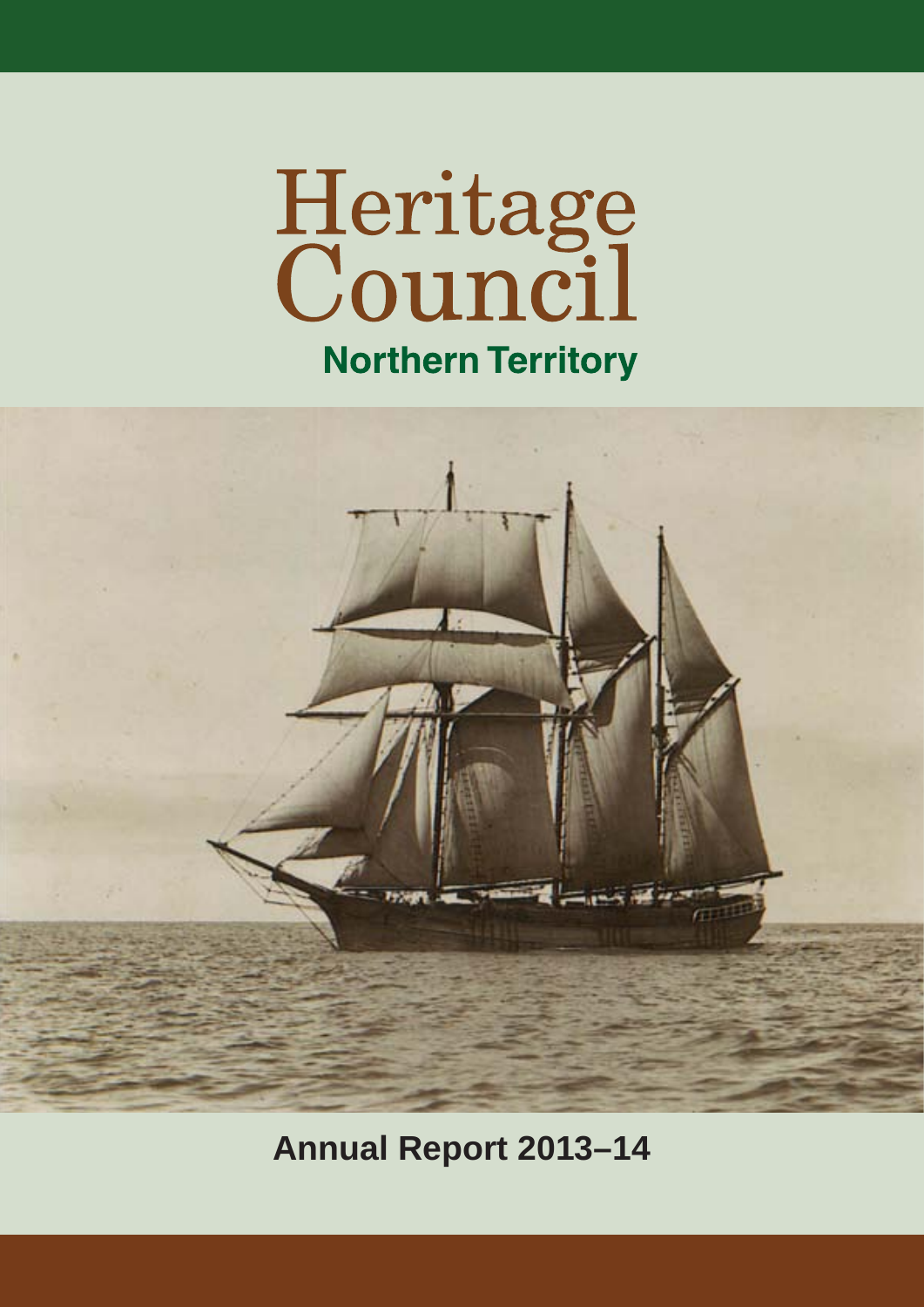# Heritage<br>Council **Northern Territory**



**Annual Report 2013–14**

1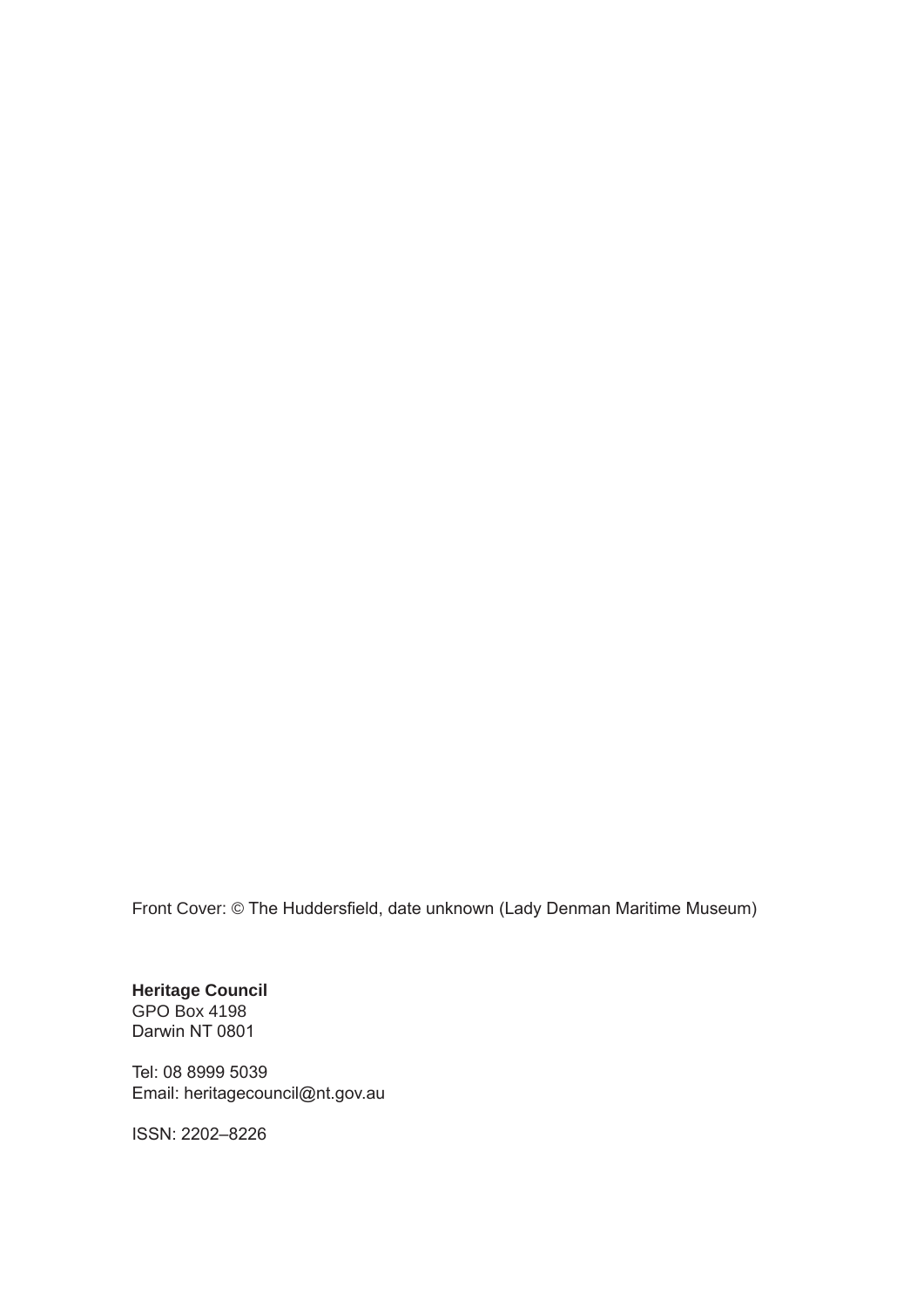Front Cover: © The Huddersfield, date unknown (Lady Denman Maritime Museum)

**Heritage Council** GPO Box 4198 Darwin NT 0801

Tel: 08 8999 5039 Email: heritagecouncil@nt.gov.au

ISSN: 2202–8226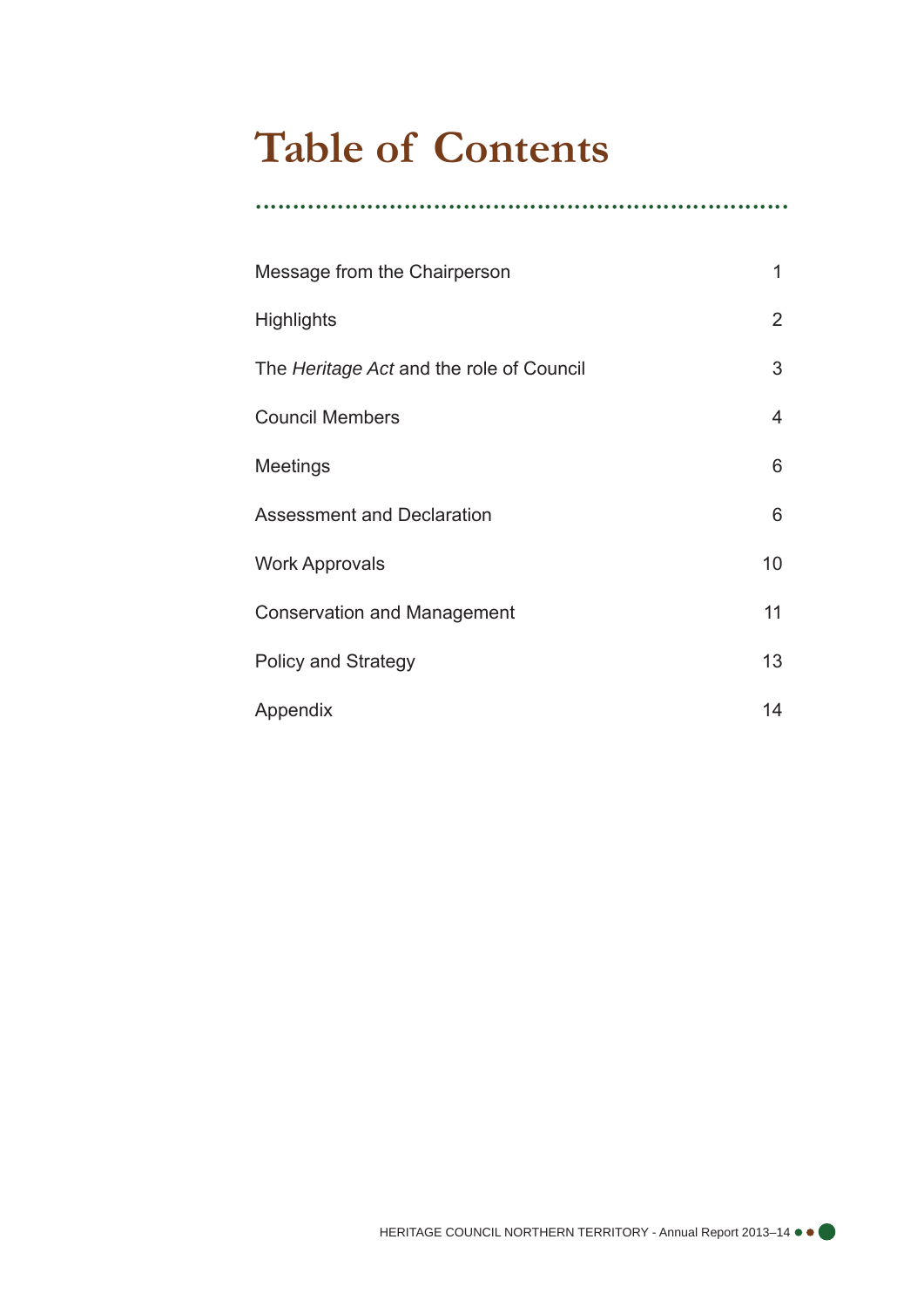# **Table of Contents**

| Message from the Chairperson             | 1              |
|------------------------------------------|----------------|
| <b>Highlights</b>                        | $\overline{2}$ |
| The Heritage Act and the role of Council | 3              |
| <b>Council Members</b>                   | $\overline{4}$ |
| Meetings                                 | 6              |
| <b>Assessment and Declaration</b>        | 6              |
| <b>Work Approvals</b>                    | 10             |
| <b>Conservation and Management</b>       | 11             |
| <b>Policy and Strategy</b>               | 13             |
| Appendix                                 | 14             |

........................................................................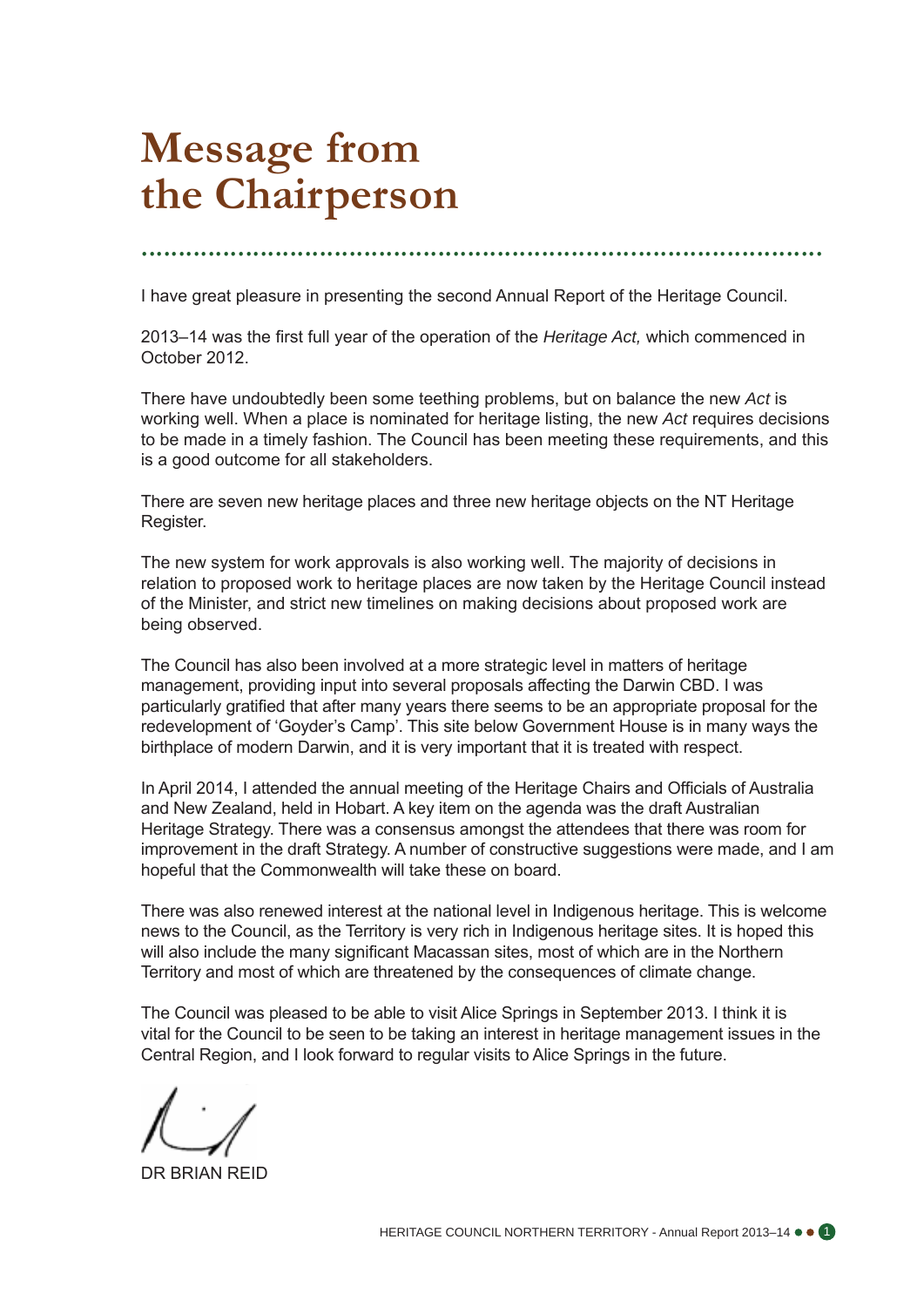# **Message from the Chairperson**

............................................................................................

I have great pleasure in presenting the second Annual Report of the Heritage Council.

2013–14 was the first full year of the operation of the *Heritage Act,* which commenced in October 2012.

There have undoubtedly been some teething problems, but on balance the new *Act* is working well. When a place is nominated for heritage listing, the new *Act* requires decisions to be made in a timely fashion. The Council has been meeting these requirements, and this is a good outcome for all stakeholders.

There are seven new heritage places and three new heritage objects on the NT Heritage Register.

The new system for work approvals is also working well. The majority of decisions in relation to proposed work to heritage places are now taken by the Heritage Council instead of the Minister, and strict new timelines on making decisions about proposed work are being observed.

The Council has also been involved at a more strategic level in matters of heritage management, providing input into several proposals affecting the Darwin CBD. I was particularly gratified that after many years there seems to be an appropriate proposal for the redevelopment of 'Goyder's Camp'. This site below Government House is in many ways the birthplace of modern Darwin, and it is very important that it is treated with respect.

In April 2014, I attended the annual meeting of the Heritage Chairs and Officials of Australia and New Zealand, held in Hobart. A key item on the agenda was the draft Australian Heritage Strategy. There was a consensus amongst the attendees that there was room for improvement in the draft Strategy. A number of constructive suggestions were made, and I am hopeful that the Commonwealth will take these on board.

There was also renewed interest at the national level in Indigenous heritage. This is welcome news to the Council, as the Territory is very rich in Indigenous heritage sites. It is hoped this will also include the many significant Macassan sites, most of which are in the Northern Territory and most of which are threatened by the consequences of climate change.

The Council was pleased to be able to visit Alice Springs in September 2013. I think it is vital for the Council to be seen to be taking an interest in heritage management issues in the Central Region, and I look forward to regular visits to Alice Springs in the future.

DR BRIAN REID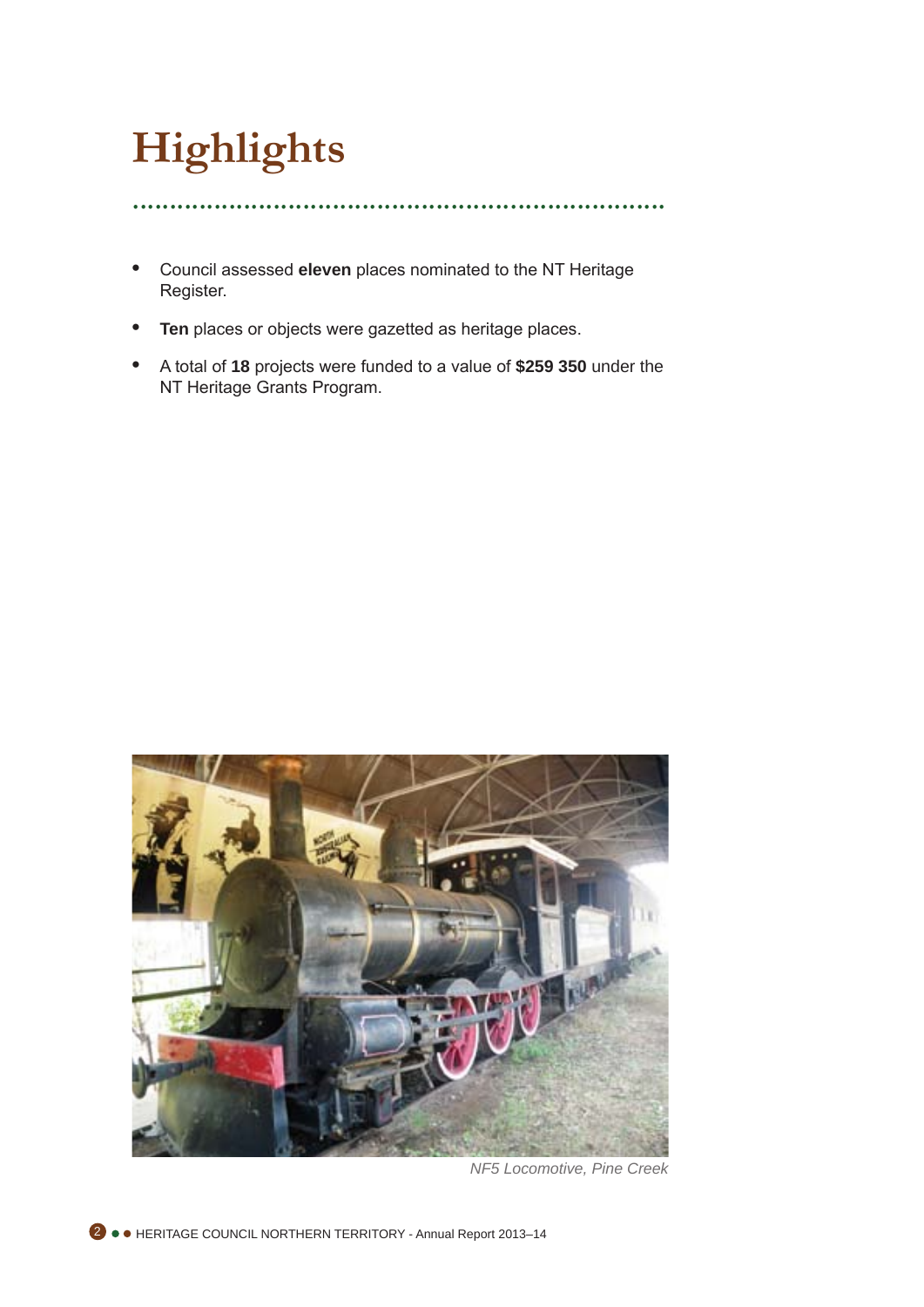# **Highlights**

........................................................................

- **•**  Council assessed **eleven** places nominated to the NT Heritage Register.
- **• Ten** places or objects were gazetted as heritage places.
- **A total of 18 projects were funded to a value of \$259 350 under the** NT Heritage Grants Program.



*NF5 Locomotive, Pine Creek*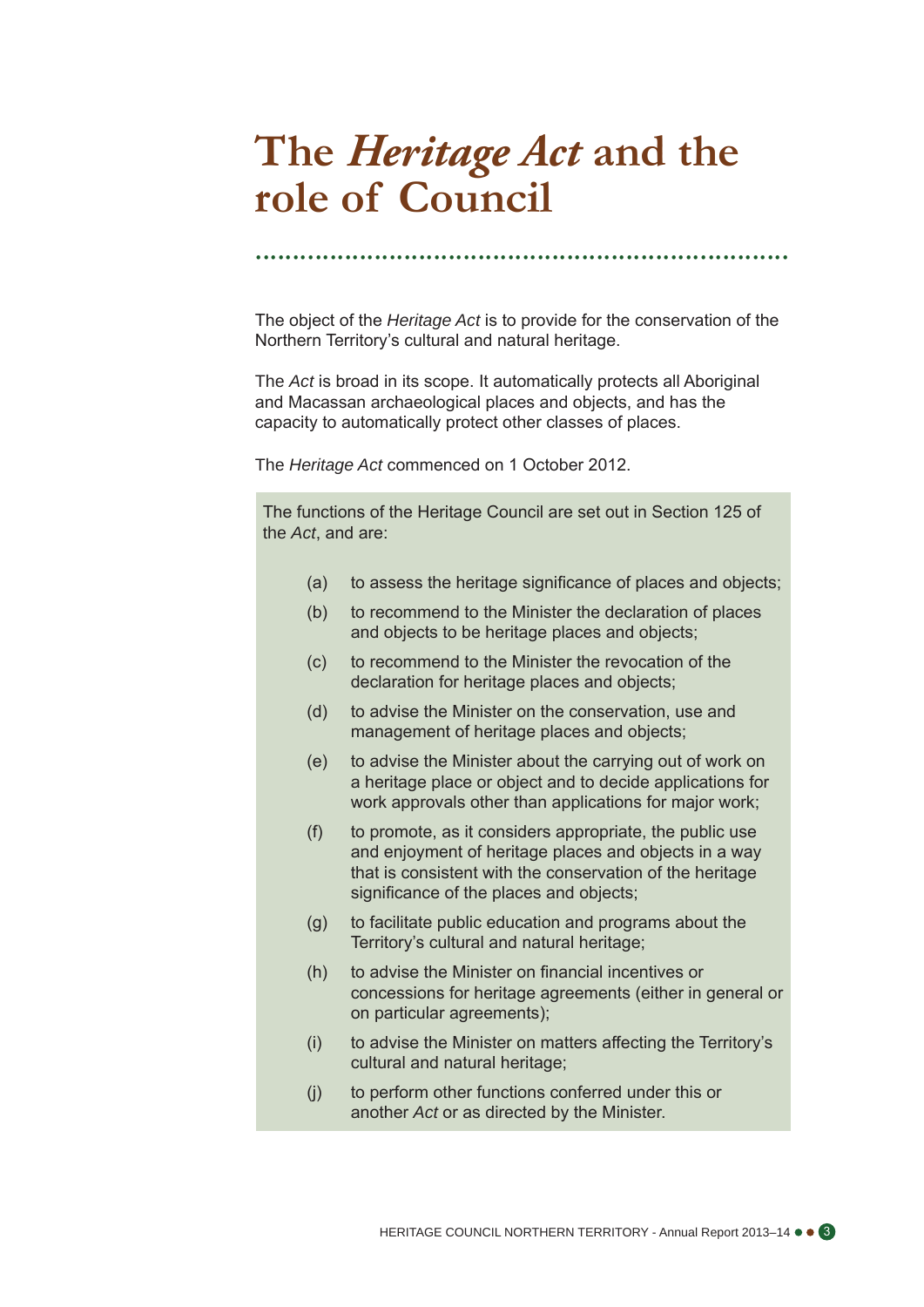# **The** *Heritage Act* **and the role of Council**

........................................................................

The object of the *Heritage Act* is to provide for the conservation of the Northern Territory's cultural and natural heritage.

The *Act* is broad in its scope. It automatically protects all Aboriginal and Macassan archaeological places and objects, and has the capacity to automatically protect other classes of places.

The *Heritage Act* commenced on 1 October 2012.

The functions of the Heritage Council are set out in Section 125 of the *Act*, and are:

- (a) to assess the heritage significance of places and objects;
- (b) to recommend to the Minister the declaration of places and objects to be heritage places and objects;
- (c) to recommend to the Minister the revocation of the declaration for heritage places and objects;
- (d) to advise the Minister on the conservation, use and management of heritage places and objects;
- (e) to advise the Minister about the carrying out of work on a heritage place or object and to decide applications for work approvals other than applications for major work;
- (f) to promote, as it considers appropriate, the public use and enjoyment of heritage places and objects in a way that is consistent with the conservation of the heritage significance of the places and objects:
- (g) to facilitate public education and programs about the Territory's cultural and natural heritage;
- (h) to advise the Minister on financial incentives or concessions for heritage agreements (either in general or on particular agreements);
- (i) to advise the Minister on matters affecting the Territory's cultural and natural heritage;
- (j) to perform other functions conferred under this or another *Act* or as directed by the Minister.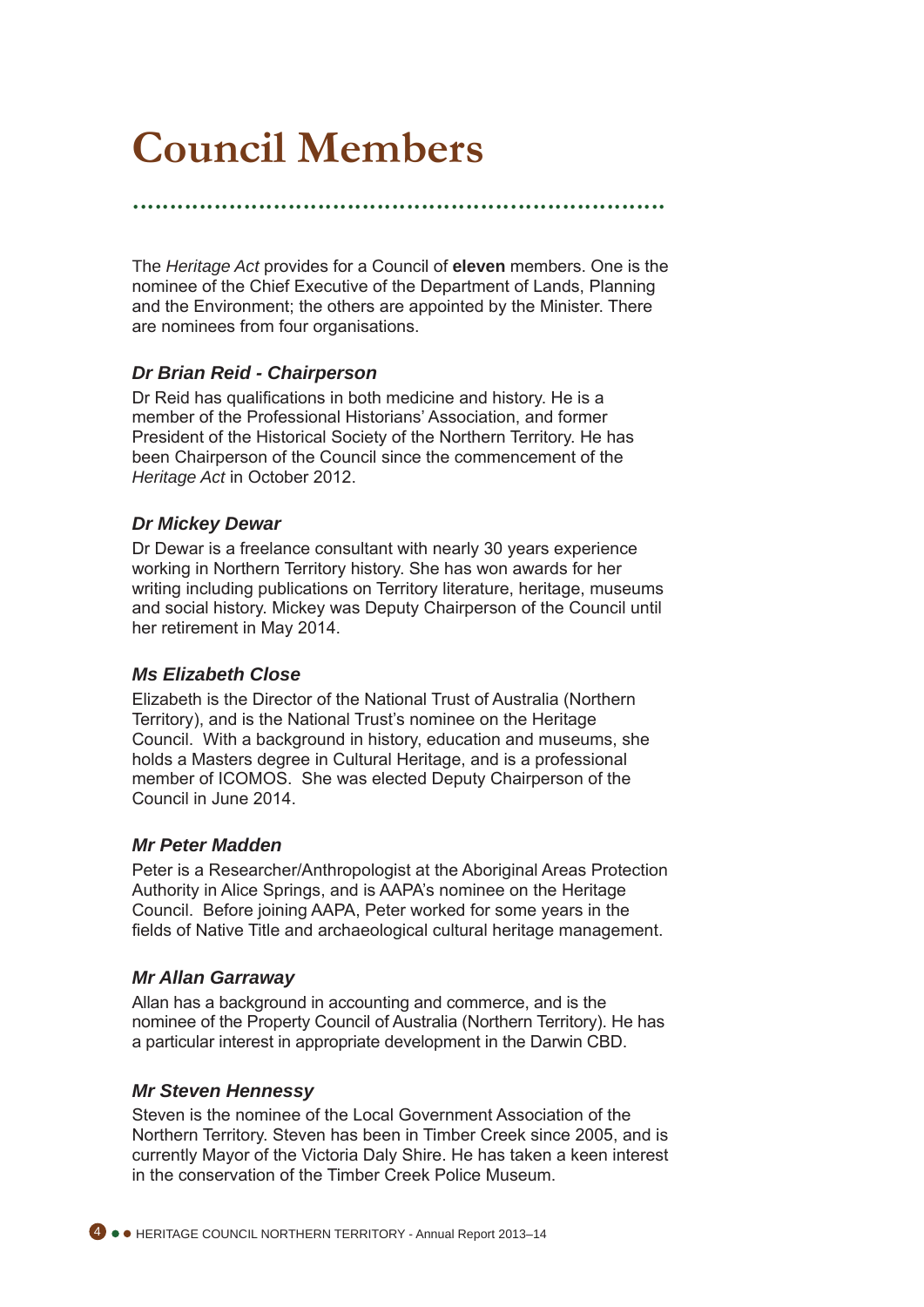# **Council Members**

........................................................................

The *Heritage Act* provides for a Council of **eleven** members. One is the nominee of the Chief Executive of the Department of Lands, Planning and the Environment; the others are appointed by the Minister. There are nominees from four organisations.

### *Dr Brian Reid - Chairperson*

Dr Reid has qualifications in both medicine and history. He is a member of the Professional Historians' Association, and former President of the Historical Society of the Northern Territory. He has been Chairperson of the Council since the commencement of the *Heritage Act* in October 2012.

### *Dr Mickey Dewar*

Dr Dewar is a freelance consultant with nearly 30 years experience working in Northern Territory history. She has won awards for her writing including publications on Territory literature, heritage, museums and social history. Mickey was Deputy Chairperson of the Council until her retirement in May 2014.

#### *Ms Elizabeth Close*

Elizabeth is the Director of the National Trust of Australia (Northern Territory), and is the National Trust's nominee on the Heritage Council. With a background in history, education and museums, she holds a Masters degree in Cultural Heritage, and is a professional member of ICOMOS. She was elected Deputy Chairperson of the Council in June 2014.

#### *Mr Peter Madden*

Peter is a Researcher/Anthropologist at the Aboriginal Areas Protection Authority in Alice Springs, and is AAPA's nominee on the Heritage Council. Before joining AAPA, Peter worked for some years in the fields of Native Title and archaeological cultural heritage management.

#### *Mr Allan Garraway*

Allan has a background in accounting and commerce, and is the nominee of the Property Council of Australia (Northern Territory). He has a particular interest in appropriate development in the Darwin CBD.

#### *Mr Steven Hennessy*

Steven is the nominee of the Local Government Association of the Northern Territory. Steven has been in Timber Creek since 2005, and is currently Mayor of the Victoria Daly Shire. He has taken a keen interest in the conservation of the Timber Creek Police Museum.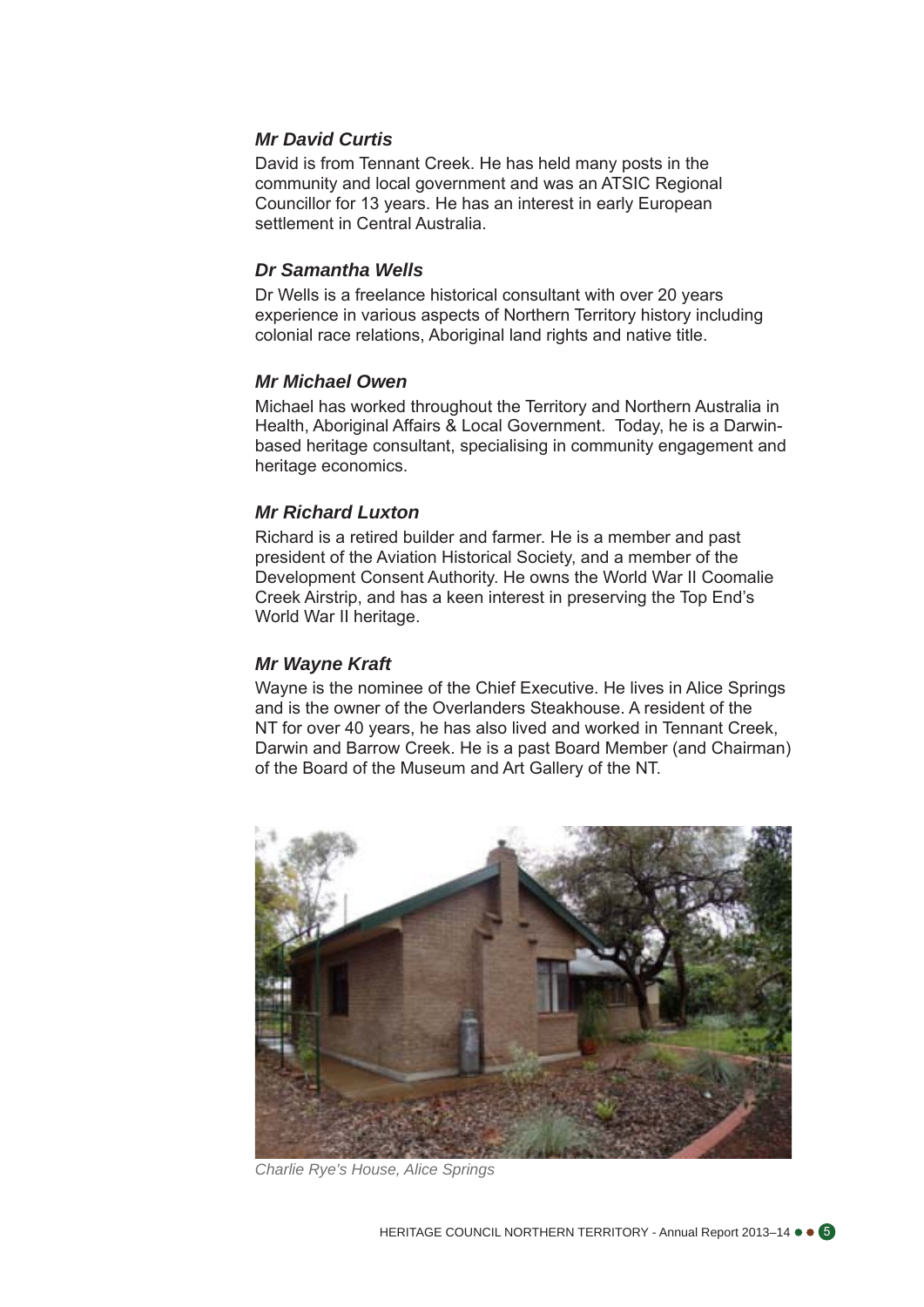### *Mr David Curtis*

David is from Tennant Creek. He has held many posts in the community and local government and was an ATSIC Regional Councillor for 13 years. He has an interest in early European settlement in Central Australia.

#### *Dr Samantha Wells*

Dr Wells is a freelance historical consultant with over 20 years experience in various aspects of Northern Territory history including colonial race relations, Aboriginal land rights and native title.

#### *Mr Michael Owen*

Michael has worked throughout the Territory and Northern Australia in Health, Aboriginal Affairs & Local Government. Today, he is a Darwinbased heritage consultant, specialising in community engagement and heritage economics.

### *Mr Richard Luxton*

Richard is a retired builder and farmer. He is a member and past president of the Aviation Historical Society, and a member of the Development Consent Authority. He owns the World War II Coomalie Creek Airstrip, and has a keen interest in preserving the Top End's World War II heritage.

#### *Mr Wayne Kraft*

Wayne is the nominee of the Chief Executive. He lives in Alice Springs and is the owner of the Overlanders Steakhouse. A resident of the NT for over 40 years, he has also lived and worked in Tennant Creek, Darwin and Barrow Creek. He is a past Board Member (and Chairman) of the Board of the Museum and Art Gallery of the NT.



*Charlie Rye's House, Alice Springs*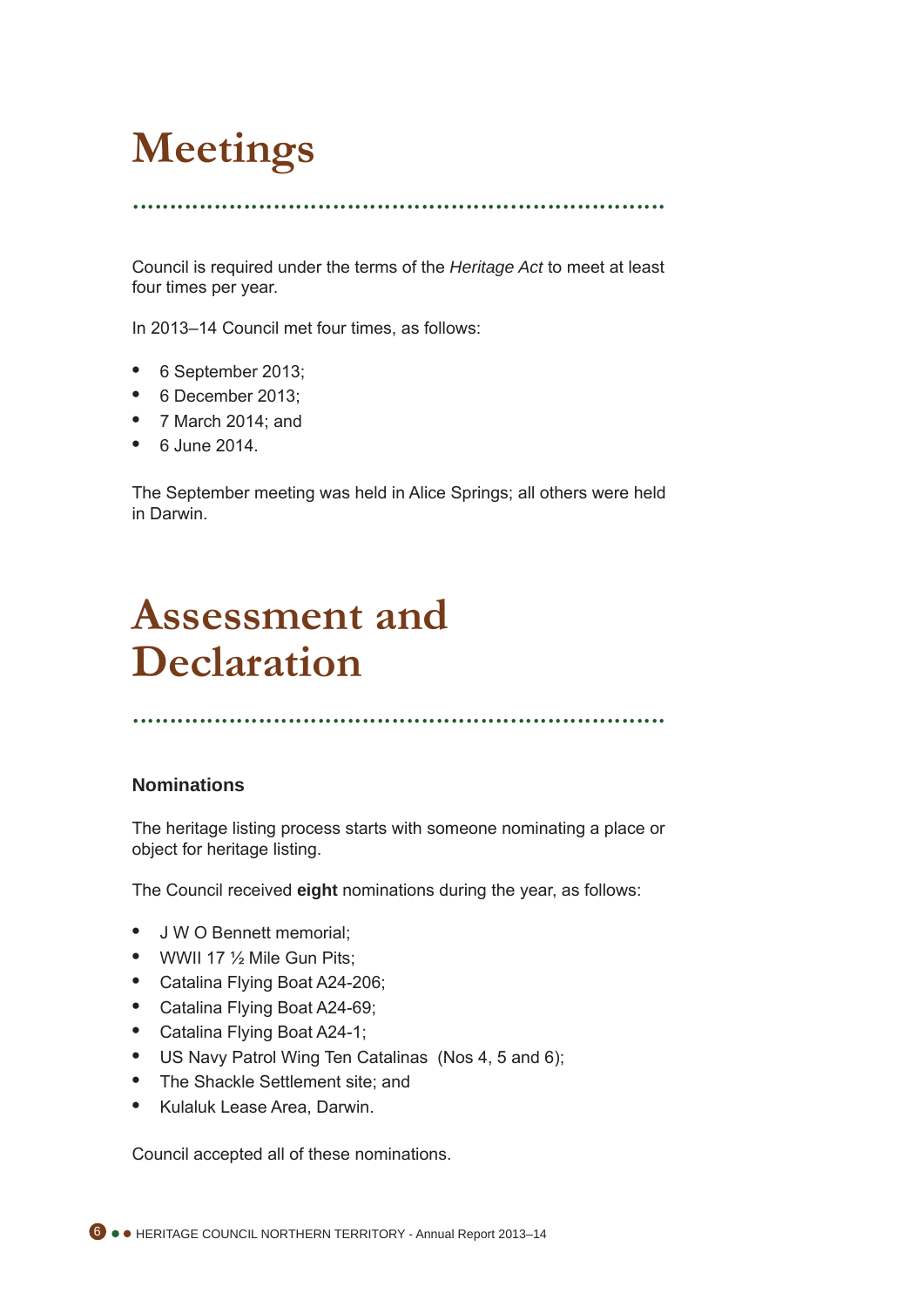# **Meetings**

........................................................................

Council is required under the terms of the *Heritage Act* to meet at least four times per year.

In 2013–14 Council met four times, as follows:

- **•**  6 September 2013;
- **•**  6 December 2013;
- **•**  7 March 2014; and
- **•**  6 June 2014.

The September meeting was held in Alice Springs; all others were held in Darwin.

# **Assessment and Declaration**

........................................................................

### **Nominations**

The heritage listing process starts with someone nominating a place or object for heritage listing.

The Council received **eight** nominations during the year, as follows:

- **•**  J W O Bennett memorial;
- **•**  WWII 17 ½ Mile Gun Pits;
- **•**  Catalina Flying Boat A24-206;
- **•**  Catalina Flying Boat A24-69;
- **•**  Catalina Flying Boat A24-1;
- **•**  US Navy Patrol Wing Ten Catalinas (Nos 4, 5 and 6);
- **•**  The Shackle Settlement site; and
- **•**  Kulaluk Lease Area, Darwin.

Council accepted all of these nominations.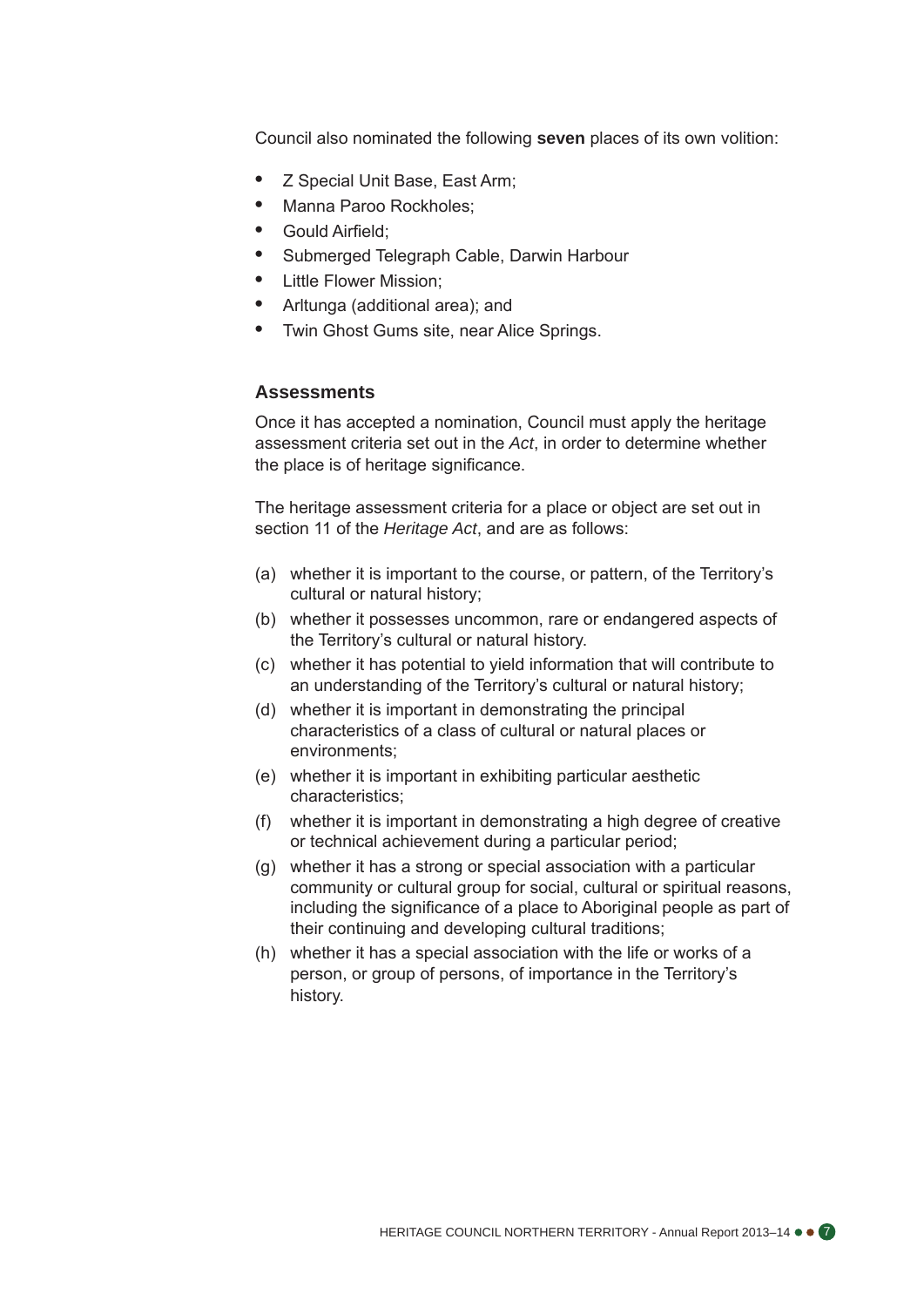Council also nominated the following **seven** places of its own volition:

- **•**  Z Special Unit Base, East Arm;
- **•**  Manna Paroo Rockholes;
- **•**  Gould Airfield;
- Submerged Telegraph Cable, Darwin Harbour
- **Little Flower Mission:**
- **•**  Arltunga (additional area); and
- **Twin Ghost Gums site, near Alice Springs.**

### **Assessments**

Once it has accepted a nomination, Council must apply the heritage assessment criteria set out in the *Act*, in order to determine whether the place is of heritage significance.

The heritage assessment criteria for a place or object are set out in section 11 of the *Heritage Act*, and are as follows:

- (a) whether it is important to the course, or pattern, of the Territory's cultural or natural history;
- (b) whether it possesses uncommon, rare or endangered aspects of the Territory's cultural or natural history.
- (c) whether it has potential to yield information that will contribute to an understanding of the Territory's cultural or natural history;
- (d) whether it is important in demonstrating the principal characteristics of a class of cultural or natural places or environments;
- (e) whether it is important in exhibiting particular aesthetic characteristics;
- (f) whether it is important in demonstrating a high degree of creative or technical achievement during a particular period;
- (g) whether it has a strong or special association with a particular community or cultural group for social, cultural or spiritual reasons, including the significance of a place to Aboriginal people as part of their continuing and developing cultural traditions;
- (h) whether it has a special association with the life or works of a person, or group of persons, of importance in the Territory's history.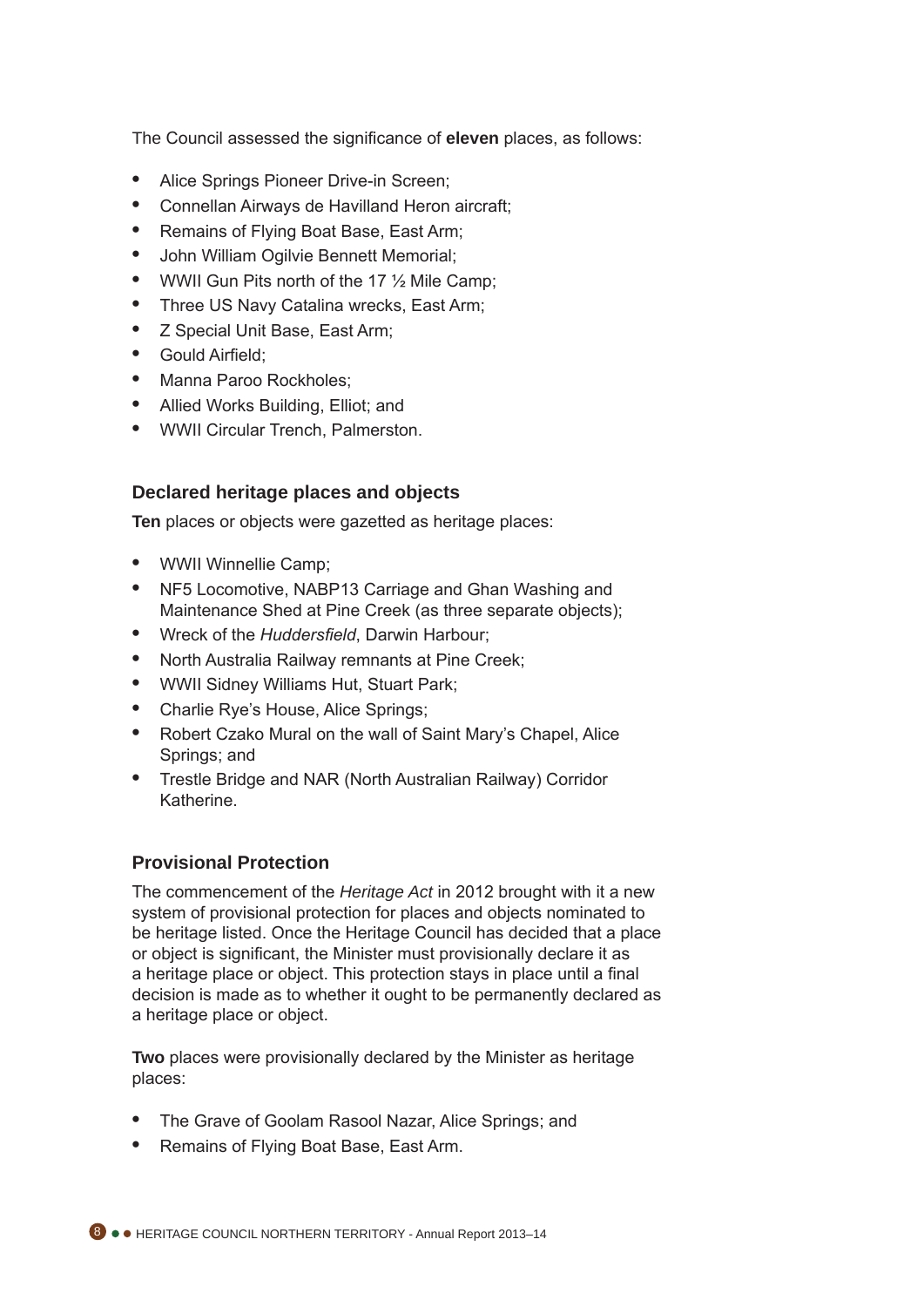The Council assessed the significance of **eleven** places, as follows:

- **•**  Alice Springs Pioneer Drive-in Screen;
- **•**  Connellan Airways de Havilland Heron aircraft;
- **•**  Remains of Flying Boat Base, East Arm;
- **John William Ogilvie Bennett Memorial;**
- WWII Gun Pits north of the 17 <sup>1/2</sup> Mile Camp:
- Three US Navy Catalina wrecks, East Arm;
- *Z* Special Unit Base, East Arm;
- **•**  Gould Airfield;
- **•**  Manna Paroo Rockholes;
- **•**  Allied Works Building, Elliot; and
- **•**  WWII Circular Trench, Palmerston.

### **Declared heritage places and objects**

**Ten** places or objects were gazetted as heritage places:

- **•**  WWII Winnellie Camp;
- **•**  NF5 Locomotive, NABP13 Carriage and Ghan Washing and Maintenance Shed at Pine Creek (as three separate objects);
- **•**  Wreck of the *Huddersfield*, Darwin Harbour;
- **North Australia Railway remnants at Pine Creek;**
- **•**  WWII Sidney Williams Hut, Stuart Park;
- **•**  Charlie Rye's House, Alice Springs;
- **•**  Robert Czako Mural on the wall of Saint Mary's Chapel, Alice Springs; and
- **•**  Trestle Bridge and NAR (North Australian Railway) Corridor Katherine.

### **Provisional Protection**

The commencement of the *Heritage Act* in 2012 brought with it a new system of provisional protection for places and objects nominated to be heritage listed. Once the Heritage Council has decided that a place or object is significant, the Minister must provisionally declare it as a heritage place or object. This protection stays in place until a final decision is made as to whether it ought to be permanently declared as a heritage place or object.

**Two** places were provisionally declared by the Minister as heritage places:

- The Grave of Goolam Rasool Nazar, Alice Springs; and
- **•**  Remains of Flying Boat Base, East Arm.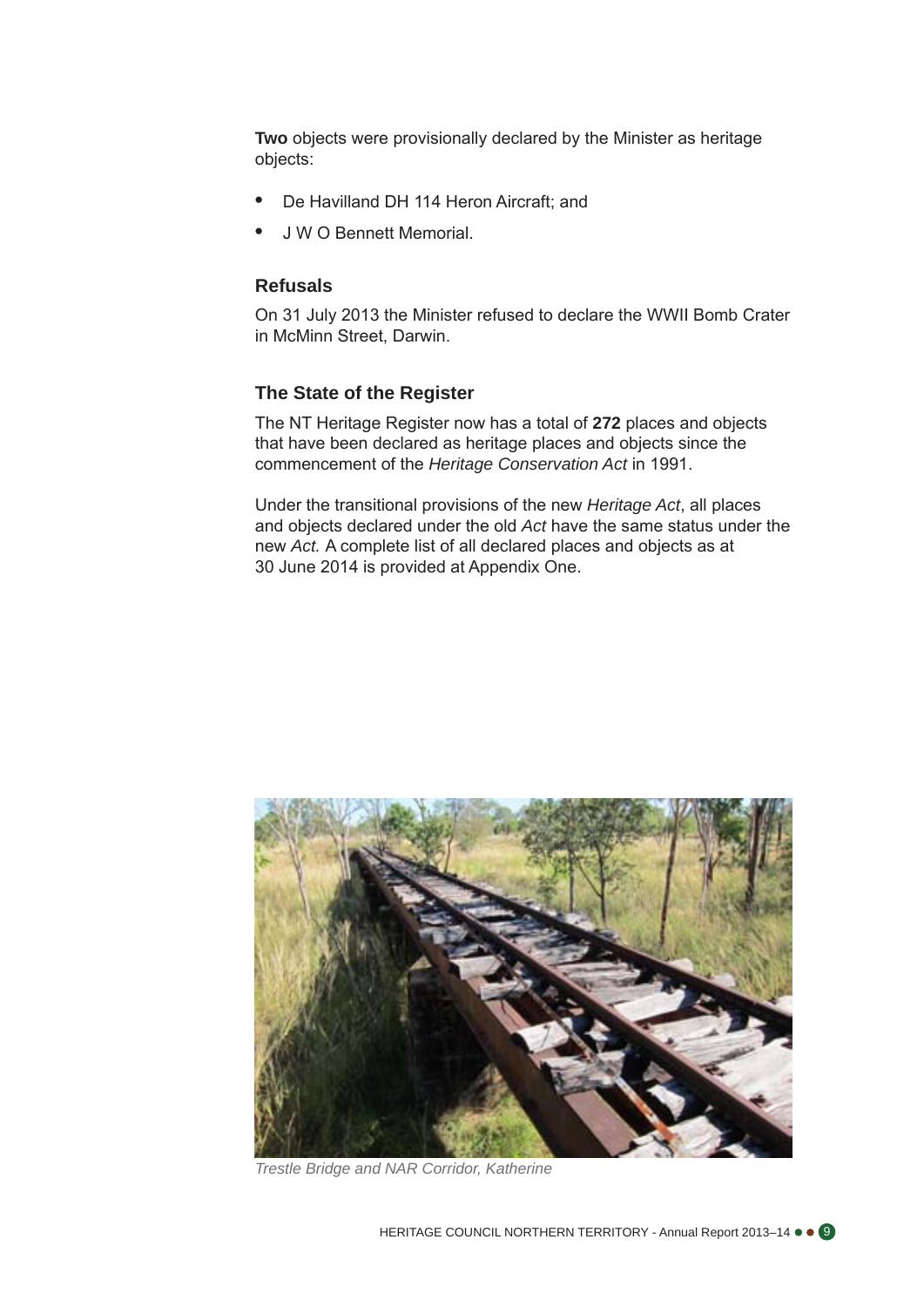**Two** objects were provisionally declared by the Minister as heritage objects:

- De Havilland DH 114 Heron Aircraft; and
- **J W O Bennett Memorial.**

### **Refusals**

On 31 July 2013 the Minister refused to declare the WWII Bomb Crater in McMinn Street, Darwin.

#### **The State of the Register**

The NT Heritage Register now has a total of **272** places and objects that have been declared as heritage places and objects since the commencement of the *Heritage Conservation Act* in 1991.

Under the transitional provisions of the new *Heritage Act*, all places and objects declared under the old *Act* have the same status under the new *Act.* A complete list of all declared places and objects as at 30 June 2014 is provided at Appendix One.



*Trestle Bridge and NAR Corridor, Katherine*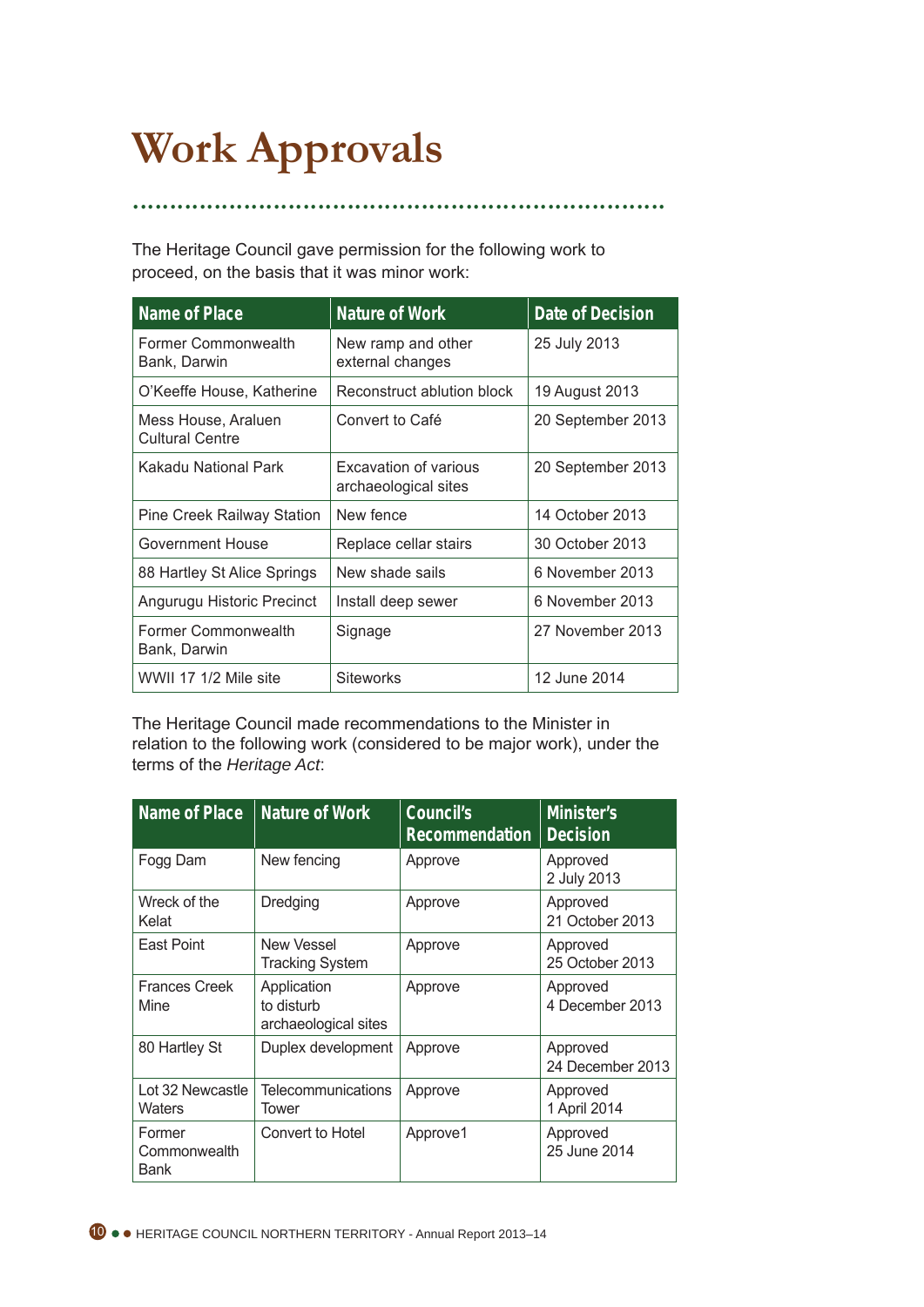# **Work Approvals**

The Heritage Council gave permission for the following work to proceed, on the basis that it was minor work:

........................................................................

| <b>Name of Place</b>                          | <b>Nature of Work</b>                         | Date of Decision  |
|-----------------------------------------------|-----------------------------------------------|-------------------|
| Former Commonwealth<br>Bank, Darwin           | New ramp and other<br>external changes        | 25 July 2013      |
| O'Keeffe House, Katherine                     | Reconstruct ablution block                    | 19 August 2013    |
| Mess House, Araluen<br><b>Cultural Centre</b> | Convert to Café                               | 20 September 2013 |
| Kakadu National Park                          | Excavation of various<br>archaeological sites | 20 September 2013 |
| Pine Creek Railway Station                    | New fence                                     | 14 October 2013   |
| Government House                              | Replace cellar stairs                         | 30 October 2013   |
| 88 Hartley St Alice Springs                   | New shade sails                               | 6 November 2013   |
| Angurugu Historic Precinct                    | Install deep sewer                            | 6 November 2013   |
| Former Commonwealth<br>Bank, Darwin           | Signage                                       | 27 November 2013  |
| WWII 17 1/2 Mile site                         | <b>Siteworks</b>                              | 12 June 2014      |

The Heritage Council made recommendations to the Minister in relation to the following work (considered to be major work), under the terms of the *Heritage Act*:

| <b>Name of Place</b>           | <b>Nature of Work</b>                             | Council's<br><b>Recommendation</b> | Minister's<br><b>Decision</b> |
|--------------------------------|---------------------------------------------------|------------------------------------|-------------------------------|
| Fogg Dam                       | New fencing                                       | Approve                            | Approved<br>2 July 2013       |
| Wreck of the<br>Kelat          | Dredging                                          | Approve                            | Approved<br>21 October 2013   |
| East Point                     | <b>New Vessel</b><br><b>Tracking System</b>       | Approve                            | Approved<br>25 October 2013   |
| <b>Frances Creek</b><br>Mine   | Application<br>to disturb<br>archaeological sites | Approve                            | Approved<br>4 December 2013   |
| 80 Hartley St                  | Duplex development                                | Approve                            | Approved<br>24 December 2013  |
| Lot 32 Newcastle<br>Waters     | Telecommunications<br>Tower                       | Approve                            | Approved<br>1 April 2014      |
| Former<br>Commonwealth<br>Bank | Convert to Hotel                                  | Approve1                           | Approved<br>25 June 2014      |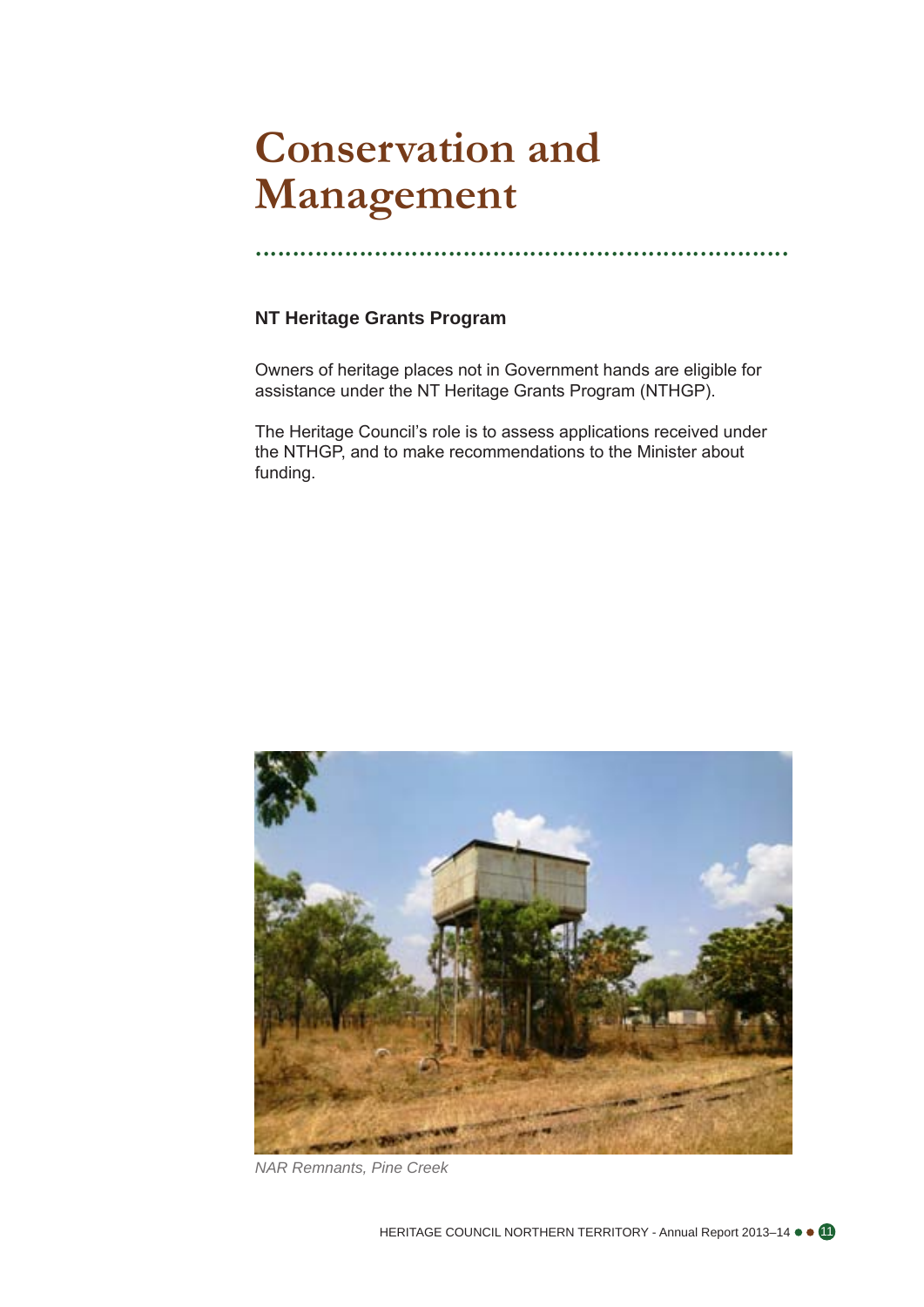# **Conservation and Management**

........................................................................

### **NT Heritage Grants Program**

Owners of heritage places not in Government hands are eligible for assistance under the NT Heritage Grants Program (NTHGP).

The Heritage Council's role is to assess applications received under the NTHGP, and to make recommendations to the Minister about funding.



*NAR Remnants, Pine Creek*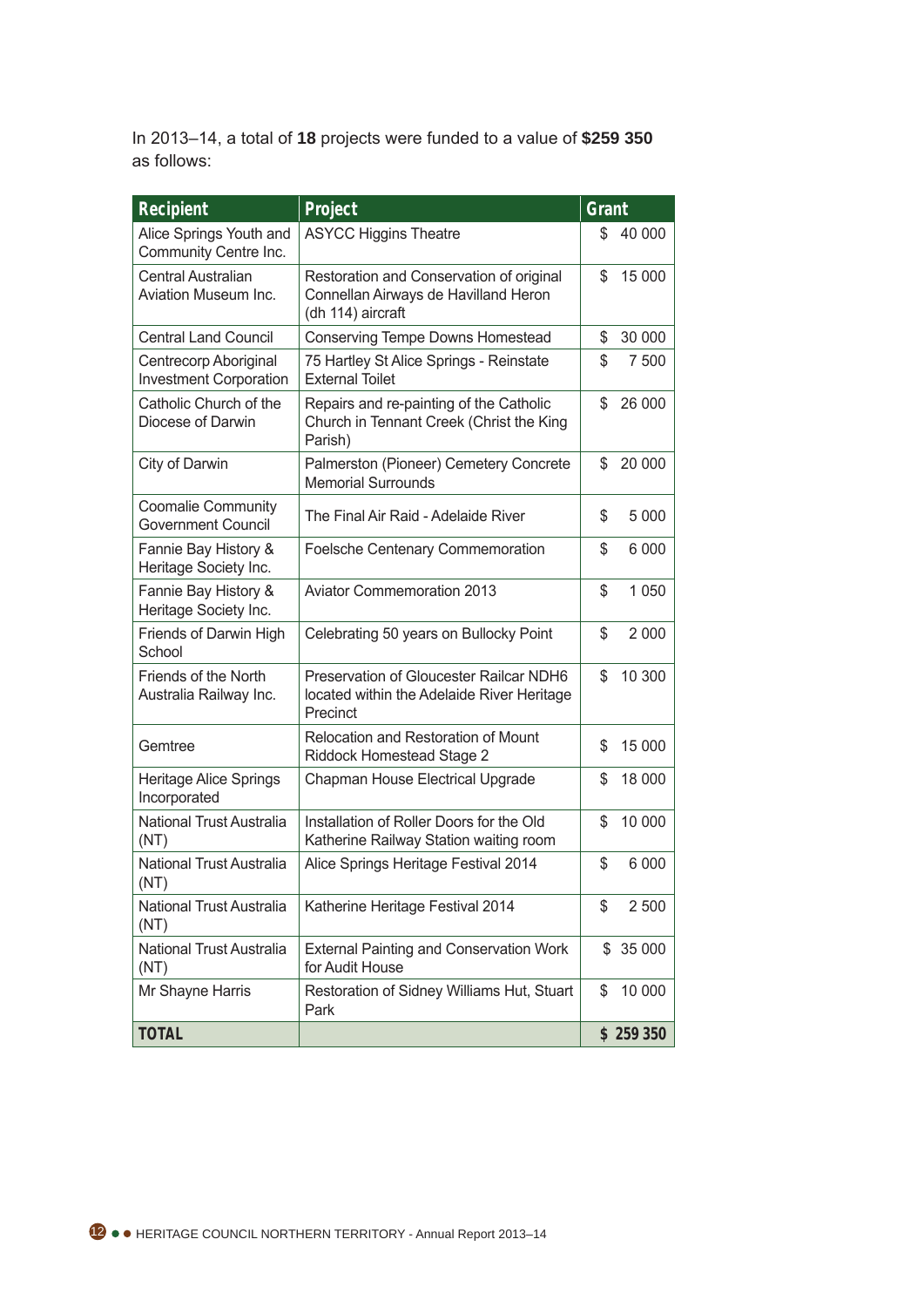In 2013–14, a total of **18** projects were funded to a value of **\$259 350**  as follows:

| <b>Recipient</b>                                       | Project                                                                                               | Grant         |
|--------------------------------------------------------|-------------------------------------------------------------------------------------------------------|---------------|
| Alice Springs Youth and<br>Community Centre Inc.       | <b>ASYCC Higgins Theatre</b>                                                                          | 40 000<br>S   |
| <b>Central Australian</b><br>Aviation Museum Inc.      | Restoration and Conservation of original<br>Connellan Airways de Havilland Heron<br>(dh 114) aircraft | \$<br>15 000  |
| <b>Central Land Council</b>                            | Conserving Tempe Downs Homestead                                                                      | 30 000<br>\$  |
| Centrecorp Aboriginal<br><b>Investment Corporation</b> | 75 Hartley St Alice Springs - Reinstate<br><b>External Toilet</b>                                     | \$<br>7 500   |
| Catholic Church of the<br>Diocese of Darwin            | Repairs and re-painting of the Catholic<br>Church in Tennant Creek (Christ the King<br>Parish)        | \$<br>26 000  |
| City of Darwin                                         | Palmerston (Pioneer) Cemetery Concrete<br><b>Memorial Surrounds</b>                                   | \$<br>20 000  |
| <b>Coomalie Community</b><br><b>Government Council</b> | The Final Air Raid - Adelaide River                                                                   | \$<br>5 0 0 0 |
| Fannie Bay History &<br>Heritage Society Inc.          | <b>Foelsche Centenary Commemoration</b>                                                               | \$<br>6 000   |
| Fannie Bay History &<br>Heritage Society Inc.          | <b>Aviator Commemoration 2013</b>                                                                     | \$<br>1 0 5 0 |
| Friends of Darwin High<br>School                       | Celebrating 50 years on Bullocky Point                                                                | \$<br>2 0 0 0 |
| Friends of the North<br>Australia Railway Inc.         | Preservation of Gloucester Railcar NDH6<br>located within the Adelaide River Heritage<br>Precinct     | 10 300<br>\$  |
| Gemtree                                                | Relocation and Restoration of Mount<br>Riddock Homestead Stage 2                                      | 15 000<br>\$  |
| <b>Heritage Alice Springs</b><br>Incorporated          | Chapman House Electrical Upgrade                                                                      | S<br>18 000   |
| National Trust Australia<br>(NT)                       | Installation of Roller Doors for the Old<br>Katherine Railway Station waiting room                    | \$<br>10 000  |
| National Trust Australia<br>(NT)                       | Alice Springs Heritage Festival 2014                                                                  | \$<br>6 000   |
| National Trust Australia<br>(NT)                       | Katherine Heritage Festival 2014                                                                      | 2 500<br>\$   |
| National Trust Australia<br>(NT)                       | <b>External Painting and Conservation Work</b><br>for Audit House                                     | 35 000<br>S.  |
| Mr Shayne Harris                                       | Restoration of Sidney Williams Hut, Stuart<br>Park                                                    | \$<br>10 000  |
| <b>TOTAL</b>                                           |                                                                                                       | \$259350      |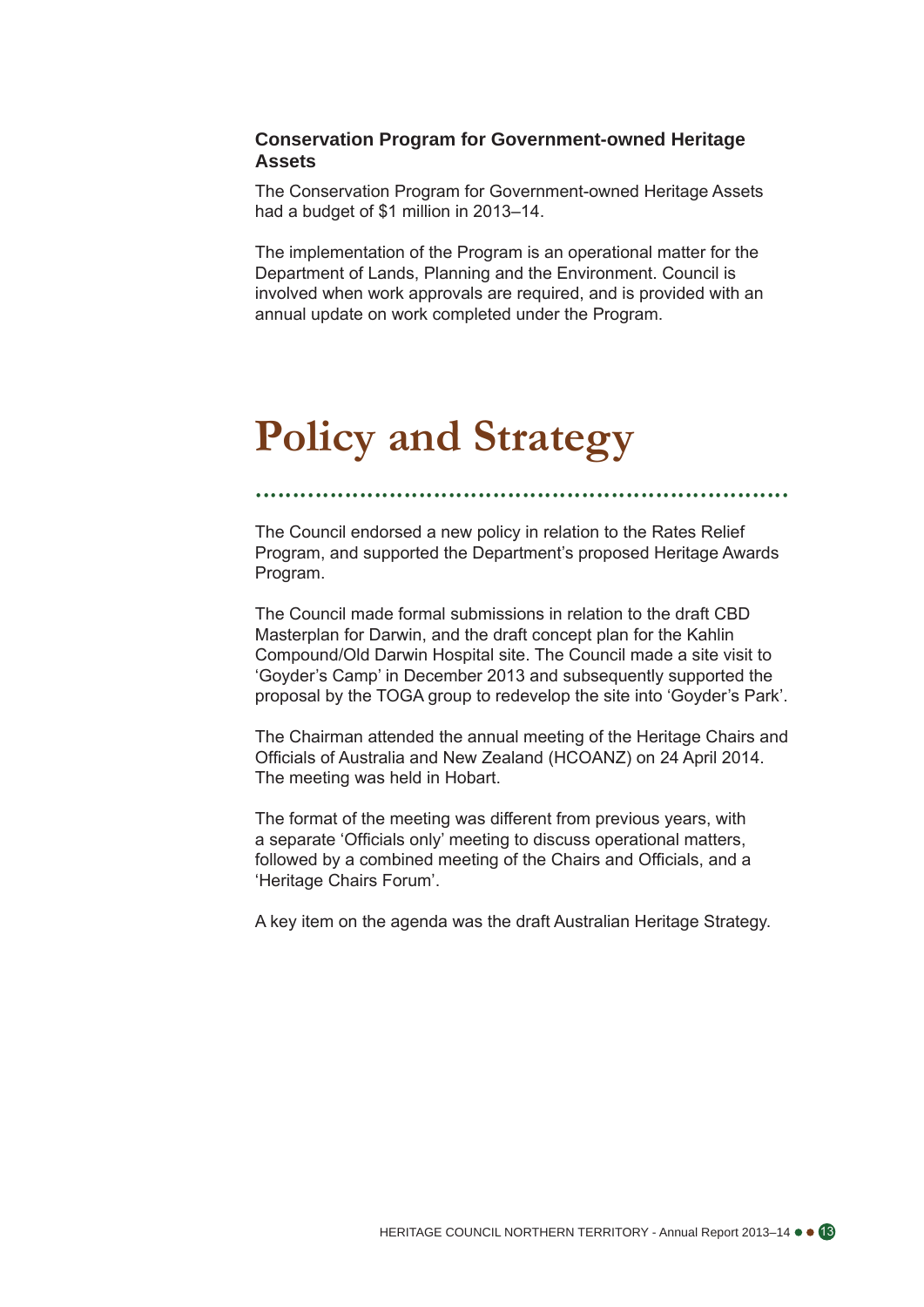### **Conservation Program for Government-owned Heritage Assets**

The Conservation Program for Government-owned Heritage Assets had a budget of \$1 million in 2013–14.

The implementation of the Program is an operational matter for the Department of Lands, Planning and the Environment. Council is involved when work approvals are required, and is provided with an annual update on work completed under the Program.

# **Policy and Strategy**

The Council endorsed a new policy in relation to the Rates Relief Program, and supported the Department's proposed Heritage Awards Program.

........................................................................

The Council made formal submissions in relation to the draft CBD Masterplan for Darwin, and the draft concept plan for the Kahlin Compound/Old Darwin Hospital site. The Council made a site visit to 'Goyder's Camp' in December 2013 and subsequently supported the proposal by the TOGA group to redevelop the site into 'Goyder's Park'.

The Chairman attended the annual meeting of the Heritage Chairs and Officials of Australia and New Zealand (HCOANZ) on 24 April 2014. The meeting was held in Hobart.

The format of the meeting was different from previous years, with a separate 'Officials only' meeting to discuss operational matters, followed by a combined meeting of the Chairs and Officials, and a 'Heritage Chairs Forum'.

A key item on the agenda was the draft Australian Heritage Strategy.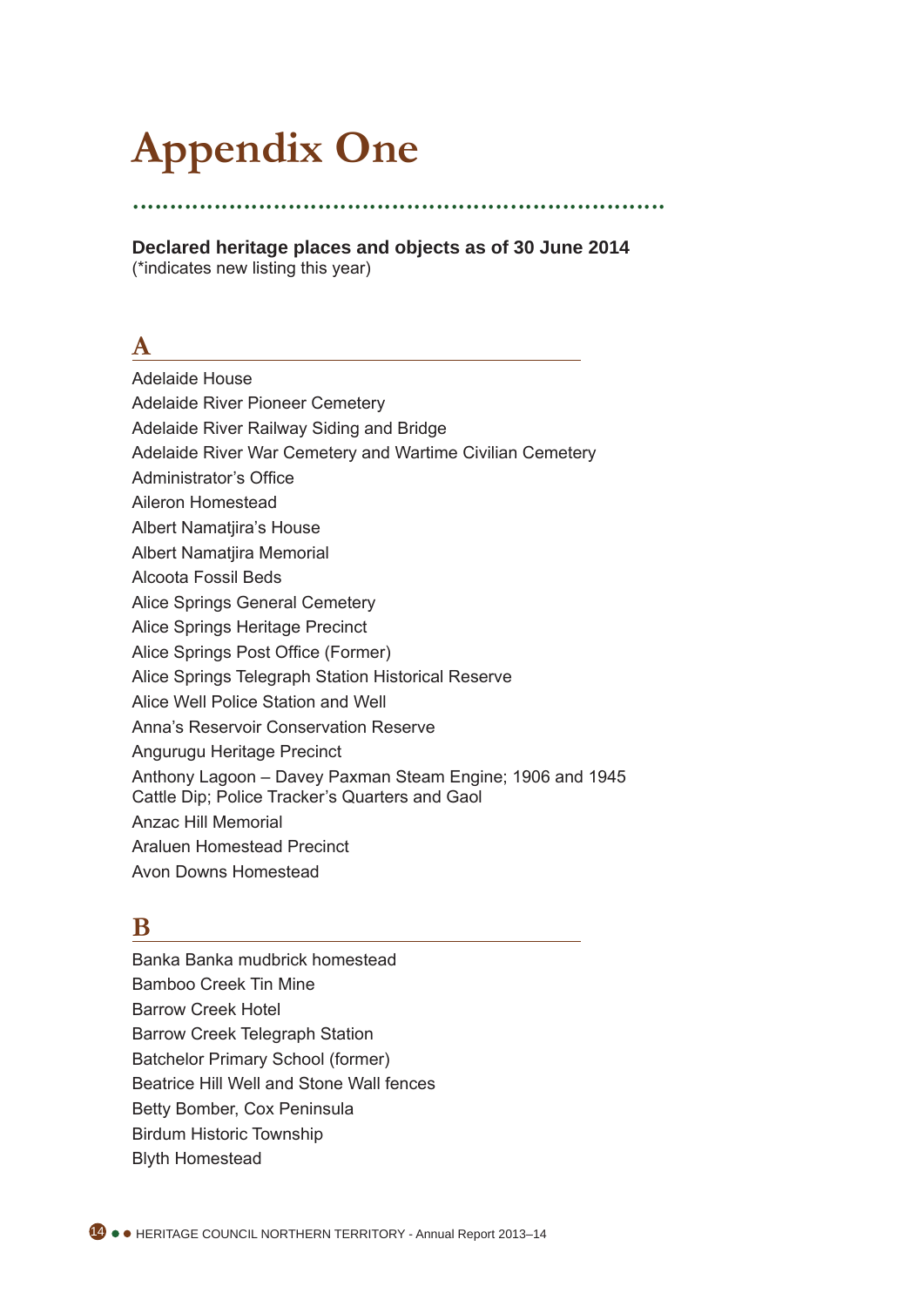# **Appendix One**

........................................................................ **Declared heritage places and objects as of 30 June 2014** 

(\*indicates new listing this year)

# **A**

- Adelaide House
- Adelaide River Pioneer Cemetery
- Adelaide River Railway Siding and Bridge
- Adelaide River War Cemetery and Wartime Civilian Cemetery
- Administrator's Office
- Aileron Homestead
- Albert Namatjira's House
- Albert Namatjira Memorial
- Alcoota Fossil Beds
- Alice Springs General Cemetery
- Alice Springs Heritage Precinct
- Alice Springs Post Office (Former)
- Alice Springs Telegraph Station Historical Reserve
- Alice Well Police Station and Well
- Anna's Reservoir Conservation Reserve
- Angurugu Heritage Precinct
- Anthony Lagoon Davey Paxman Steam Engine; 1906 and 1945
- Cattle Dip; Police Tracker's Quarters and Gaol
- Anzac Hill Memorial
- Araluen Homestead Precinct
- Avon Downs Homestead

# **B**

Banka Banka mudbrick homestead Bamboo Creek Tin Mine Barrow Creek Hotel Barrow Creek Telegraph Station Batchelor Primary School (former) Beatrice Hill Well and Stone Wall fences Betty Bomber, Cox Peninsula Birdum Historic Township Blyth Homestead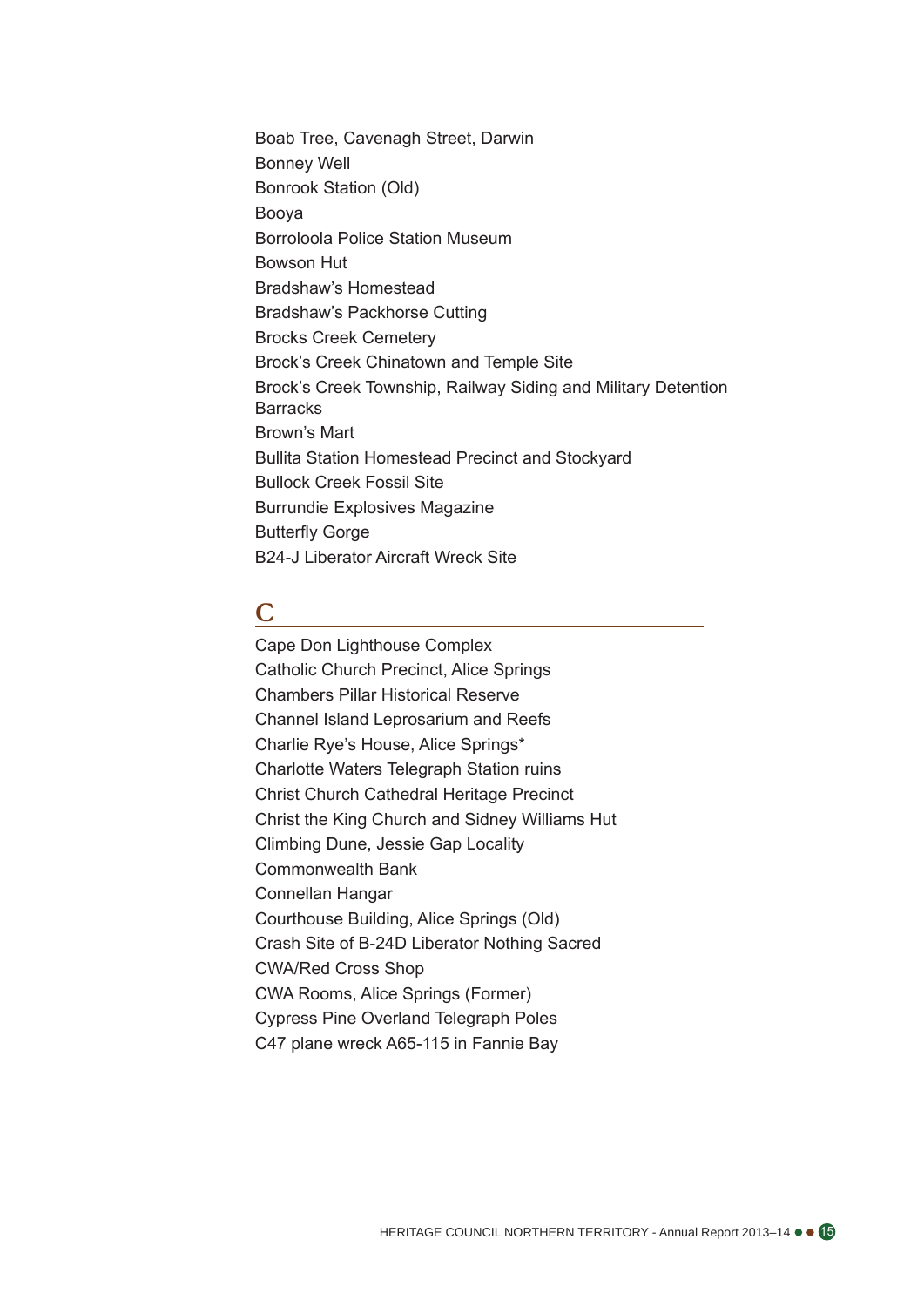Boab Tree, Cavenagh Street, Darwin Bonney Well Bonrook Station (Old) Booya Borroloola Police Station Museum Bowson Hut Bradshaw's Homestead Bradshaw's Packhorse Cutting Brocks Creek Cemetery Brock's Creek Chinatown and Temple Site Brock's Creek Township, Railway Siding and Military Detention **Barracks** Brown's Mart Bullita Station Homestead Precinct and Stockyard Bullock Creek Fossil Site Burrundie Explosives Magazine Butterfly Gorge B24-J Liberator Aircraft Wreck Site

## **C**

Cape Don Lighthouse Complex Catholic Church Precinct, Alice Springs Chambers Pillar Historical Reserve Channel Island Leprosarium and Reefs Charlie Rye's House, Alice Springs\* Charlotte Waters Telegraph Station ruins Christ Church Cathedral Heritage Precinct Christ the King Church and Sidney Williams Hut Climbing Dune, Jessie Gap Locality Commonwealth Bank Connellan Hangar Courthouse Building, Alice Springs (Old) Crash Site of B-24D Liberator Nothing Sacred CWA/Red Cross Shop CWA Rooms, Alice Springs (Former) Cypress Pine Overland Telegraph Poles C47 plane wreck A65-115 in Fannie Bay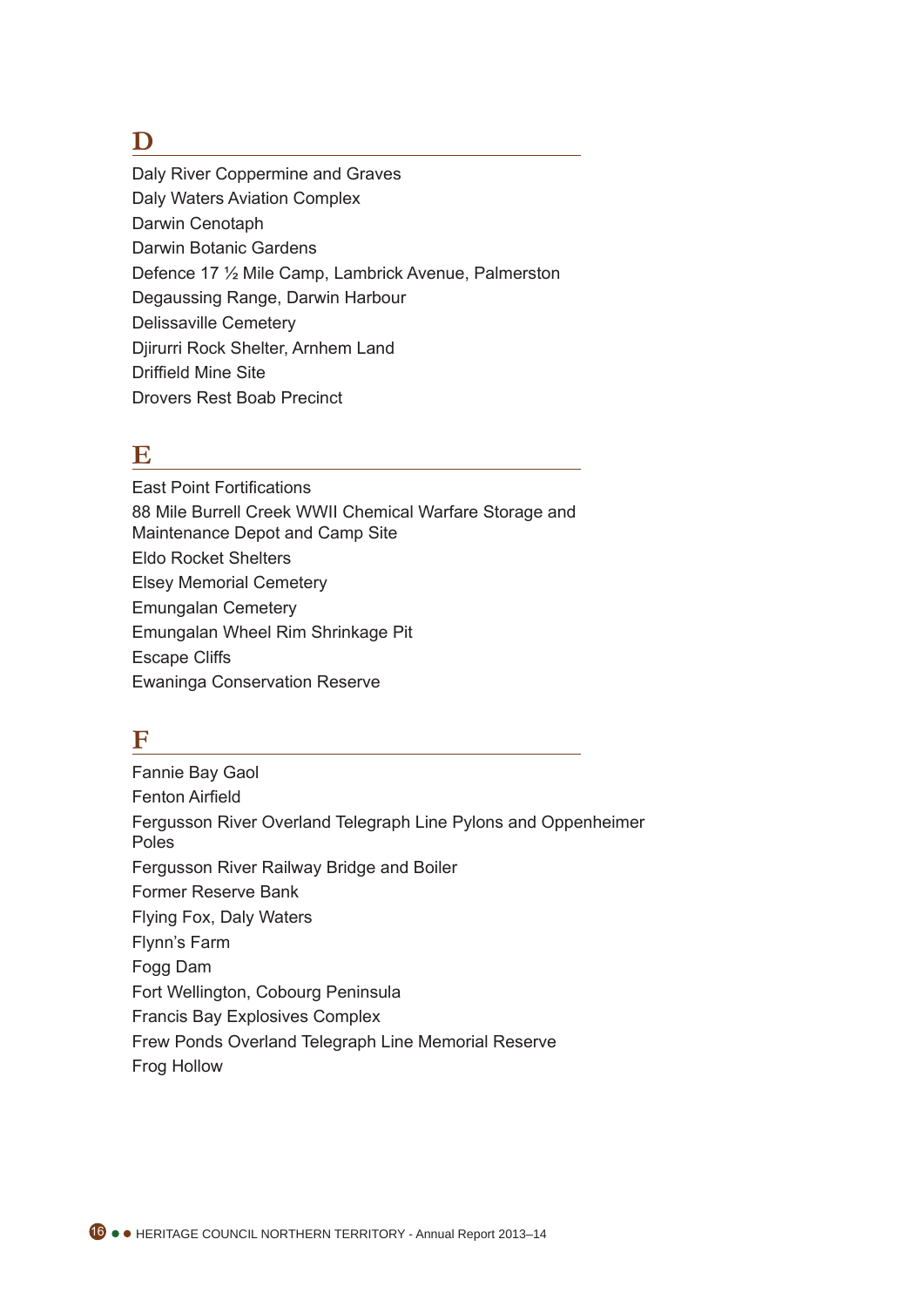# **D**

Daly River Coppermine and Graves Daly Waters Aviation Complex Darwin Cenotaph Darwin Botanic Gardens Defence 17 ½ Mile Camp, Lambrick Avenue, Palmerston Degaussing Range, Darwin Harbour Delissaville Cemetery Djirurri Rock Shelter, Arnhem Land Driffield Mine Site Drovers Rest Boab Precinct

# **E**

East Point Fortifications 88 Mile Burrell Creek WWII Chemical Warfare Storage and Maintenance Depot and Camp Site Eldo Rocket Shelters Elsey Memorial Cemetery Emungalan Cemetery Emungalan Wheel Rim Shrinkage Pit Escape Cliffs Ewaninga Conservation Reserve

# **F**

Fannie Bay Gaol Fenton Airfield Fergusson River Overland Telegraph Line Pylons and Oppenheimer Poles Fergusson River Railway Bridge and Boiler Former Reserve Bank Flying Fox, Daly Waters Flynn's Farm Fogg Dam Fort Wellington, Cobourg Peninsula Francis Bay Explosives Complex Frew Ponds Overland Telegraph Line Memorial Reserve Frog Hollow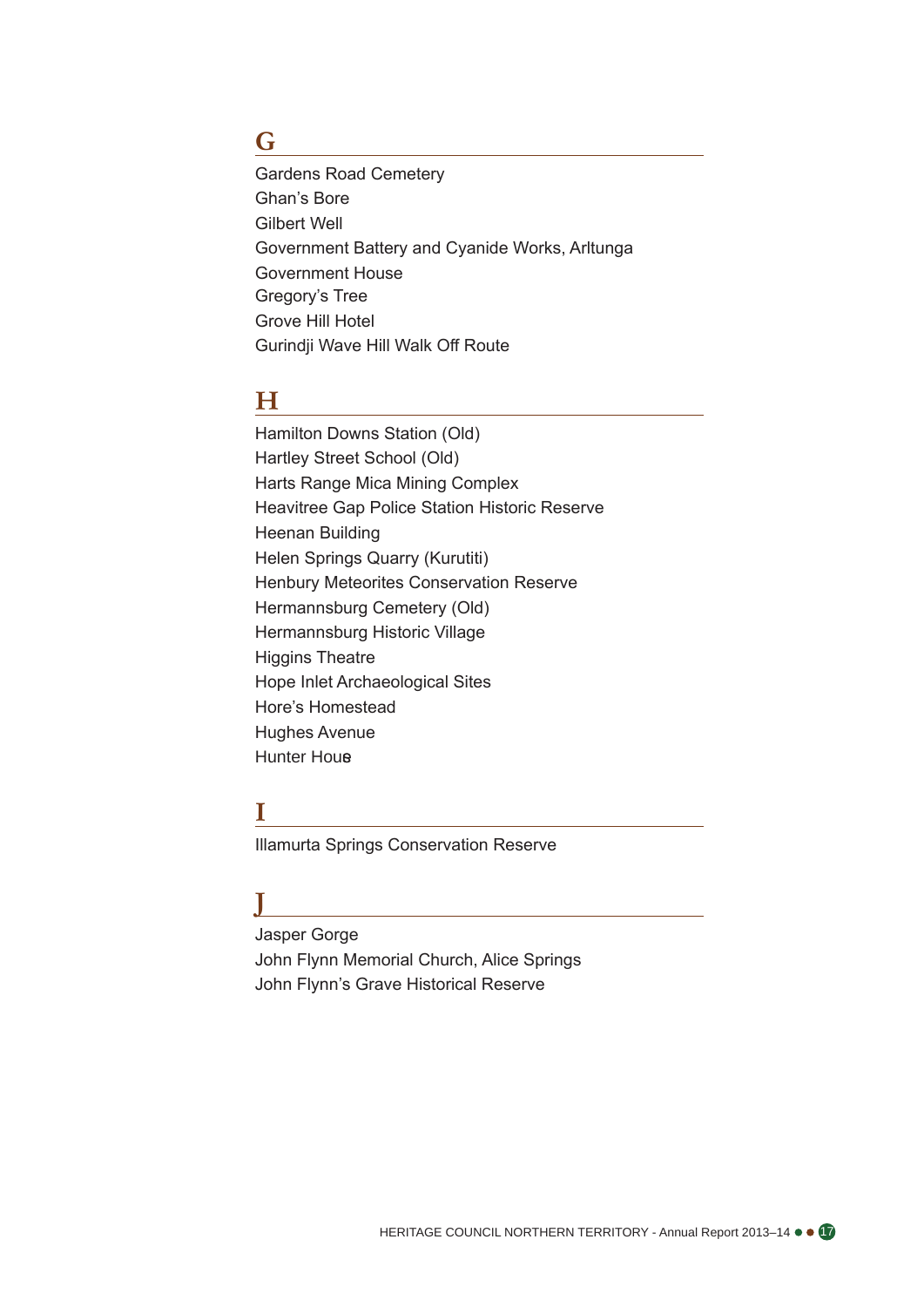## **G**

Gardens Road Cemetery Ghan's Bore Gilbert Well Government Battery and Cyanide Works, Arltunga Government House Gregory's Tree Grove Hill Hotel Gurindji Wave Hill Walk Off Route

# **H**

Hamilton Downs Station (Old) Hartley Street School (Old) Harts Range Mica Mining Complex Heavitree Gap Police Station Historic Reserve Heenan Building Helen Springs Quarry (Kurutiti) Henbury Meteorites Conservation Reserve Hermannsburg Cemetery (Old) Hermannsburg Historic Village Higgins Theatre Hope Inlet Archaeological Sites Hore's Homestead Hughes Avenue **Hunter Hous** 

### **I**

Illamurta Springs Conservation Reserve

# **J**

Jasper Gorge John Flynn Memorial Church, Alice Springs John Flynn's Grave Historical Reserve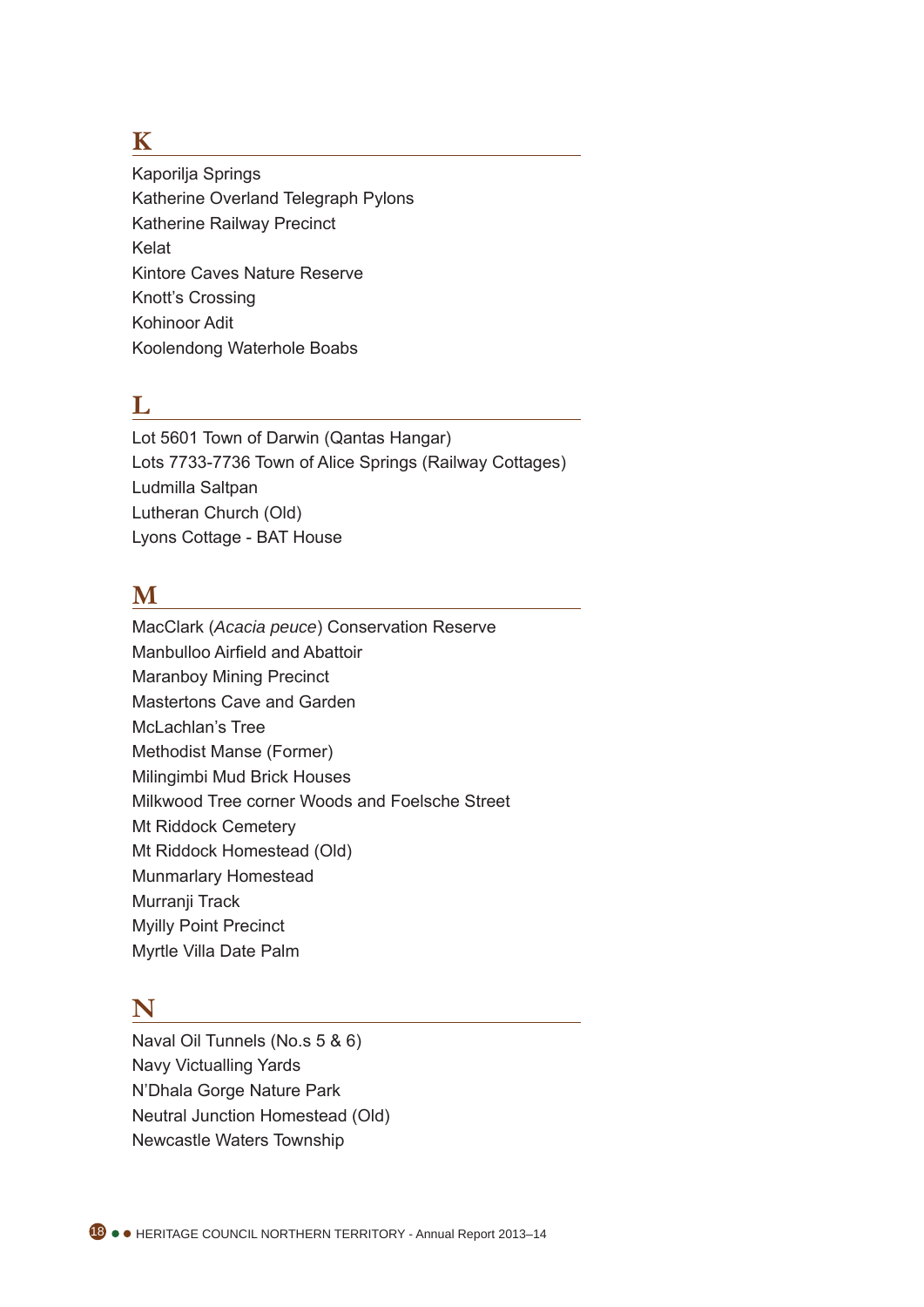## **K**

Kaporilja Springs Katherine Overland Telegraph Pylons Katherine Railway Precinct Kelat Kintore Caves Nature Reserve Knott's Crossing Kohinoor Adit Koolendong Waterhole Boabs

# **L**

Lot 5601 Town of Darwin (Qantas Hangar) Lots 7733-7736 Town of Alice Springs (Railway Cottages) Ludmilla Saltpan Lutheran Church (Old) Lyons Cottage - BAT House

# **M**

MacClark (*Acacia peuce*) Conservation Reserve Manbulloo Airfield and Abattoir Maranboy Mining Precinct Mastertons Cave and Garden McLachlan's Tree Methodist Manse (Former) Milingimbi Mud Brick Houses Milkwood Tree corner Woods and Foelsche Street Mt Riddock Cemetery Mt Riddock Homestead (Old) Munmarlary Homestead Murranji Track Myilly Point Precinct Myrtle Villa Date Palm

# **N**

Naval Oil Tunnels (No.s 5 & 6) Navy Victualling Yards N'Dhala Gorge Nature Park Neutral Junction Homestead (Old) Newcastle Waters Township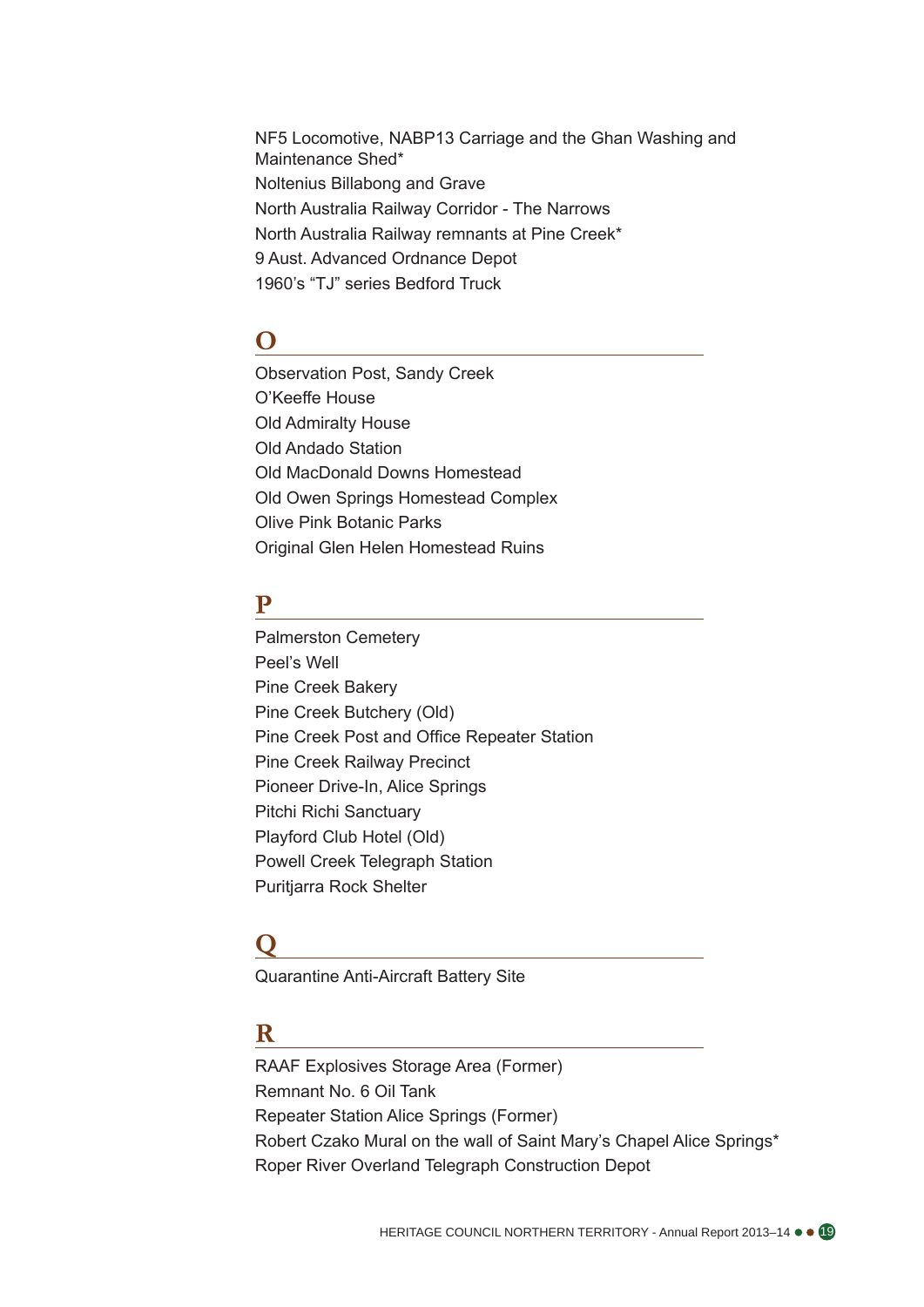NF5 Locomotive, NABP13 Carriage and the Ghan Washing and Maintenance Shed\* Noltenius Billabong and Grave North Australia Railway Corridor - The Narrows North Australia Railway remnants at Pine Creek\* 9 Aust. Advanced Ordnance Depot 1960's "TJ" series Bedford Truck

# **O**

Observation Post, Sandy Creek O'Keeffe House Old Admiralty House Old Andado Station Old MacDonald Downs Homestead Old Owen Springs Homestead Complex Olive Pink Botanic Parks Original Glen Helen Homestead Ruins

### **P**

Palmerston Cemetery Peel's Well Pine Creek Bakery Pine Creek Butchery (Old) Pine Creek Post and Office Repeater Station Pine Creek Railway Precinct Pioneer Drive-In, Alice Springs Pitchi Richi Sanctuary Playford Club Hotel (Old) Powell Creek Telegraph Station Puritjarra Rock Shelter

## **Q**

Quarantine Anti-Aircraft Battery Site

### **R**

RAAF Explosives Storage Area (Former) Remnant No. 6 Oil Tank Repeater Station Alice Springs (Former) Robert Czako Mural on the wall of Saint Mary's Chapel Alice Springs\* Roper River Overland Telegraph Construction Depot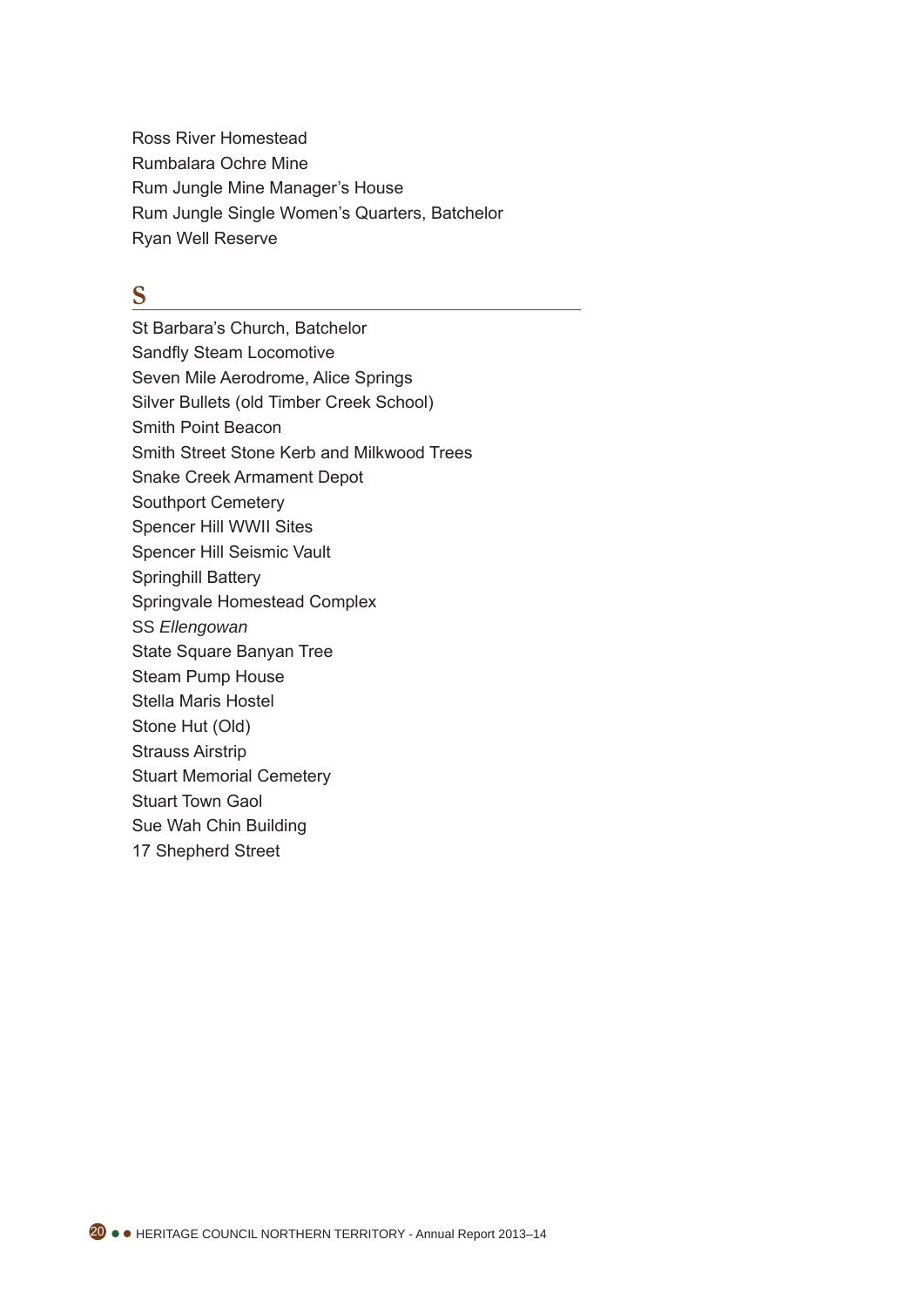Ross River Homestead Rumbalara Ochre Mine Rum Jungle Mine Manager's House Rum Jungle Single Women's Quarters, Batchelor Ryan Well Reserve

### **S**

St Barbara's Church, Batchelor Sandfly Steam Locomotive Seven Mile Aerodrome, Alice Springs Silver Bullets (old Timber Creek School) Smith Point Beacon Smith Street Stone Kerb and Milkwood Trees Snake Creek Armament Depot Southport Cemetery Spencer Hill WWII Sites Spencer Hill Seismic Vault Springhill Battery Springvale Homestead Complex S S *Ellengowan* State Square Banyan Tree Steam Pump House Stella Maris Hostel Stone Hut (Old) Strauss Airstrip Stuart Memorial Cemetery Stuart Town Gaol Sue Wah Chin Building 17 Shepherd Street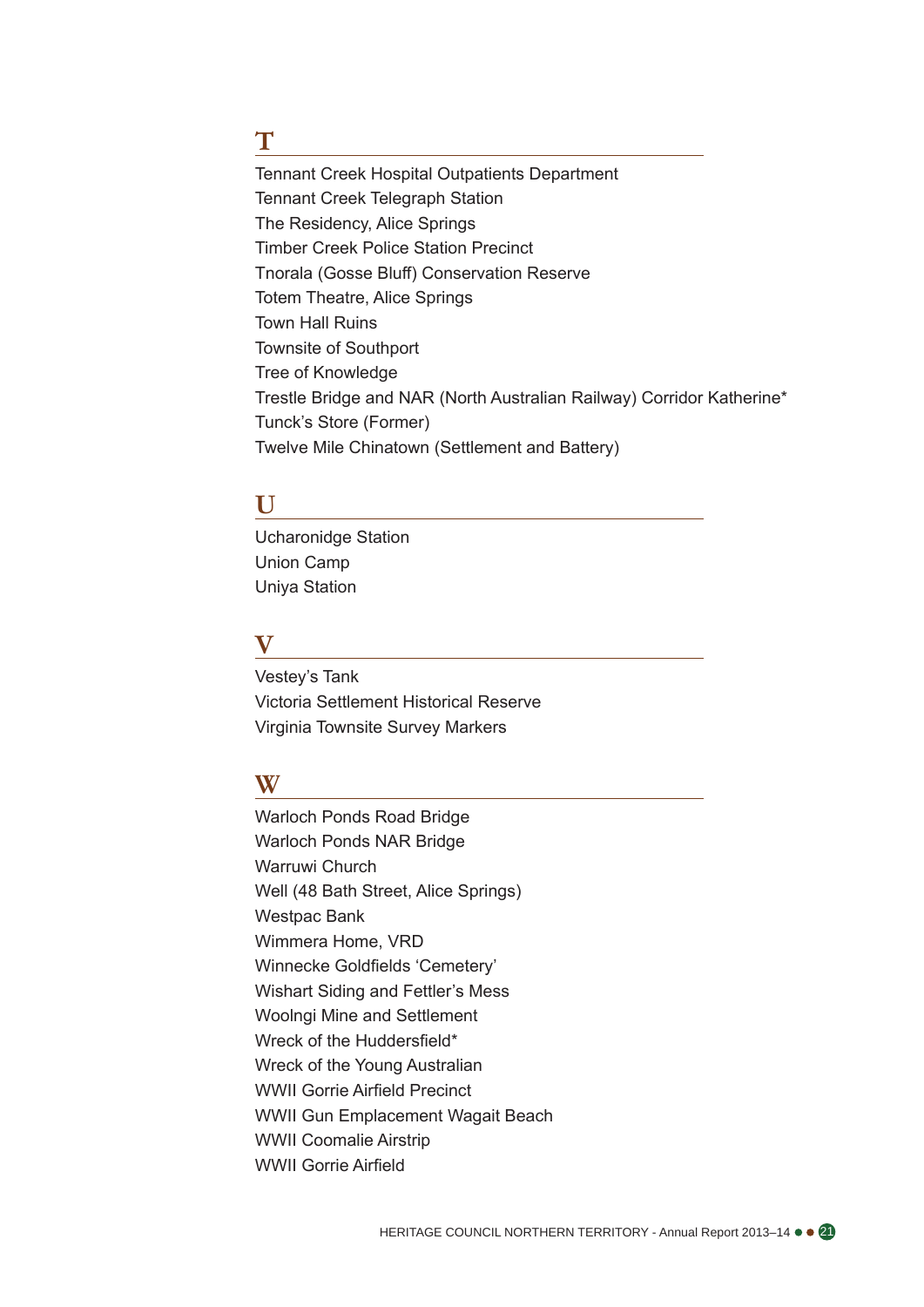### **T**

Tennant Creek Hospital Outpatients Department Tennant Creek Telegraph Station The Residency, Alice Springs Timber Creek Police Station Precinct Tnorala (Gosse Bluff) Conservation Reserve Totem Theatre, Alice Springs Town Hall Ruins Townsite of Southport Tree of Knowledge Trestle Bridge and NAR (North Australian Railway) Corridor Katherine\* Tunck's Store (Former) Twelve Mile Chinatown (Settlement and Battery)

### **U**

Ucharonidge Station Union Camp Uniya Station

### **V**

Vestey's Tank Victoria Settlement Historical Reserve Virginia Townsite Survey Markers

### **W**

Warloch Ponds Road Bridge Warloch Ponds NAR Bridge Warruwi Church Well (48 Bath Street, Alice Springs) Westpac Bank Wimmera Home, VRD Winnecke Goldfields 'Cemetery' Wishart Siding and Fettler's Mess Woolngi Mine and Settlement Wreck of the Huddersfield\* Wreck of the Young Australian WWII Gorrie Airfield Precinct WWII Gun Emplacement Wagait Beach WWII Coomalie Airstrip WWII Gorrie Airfield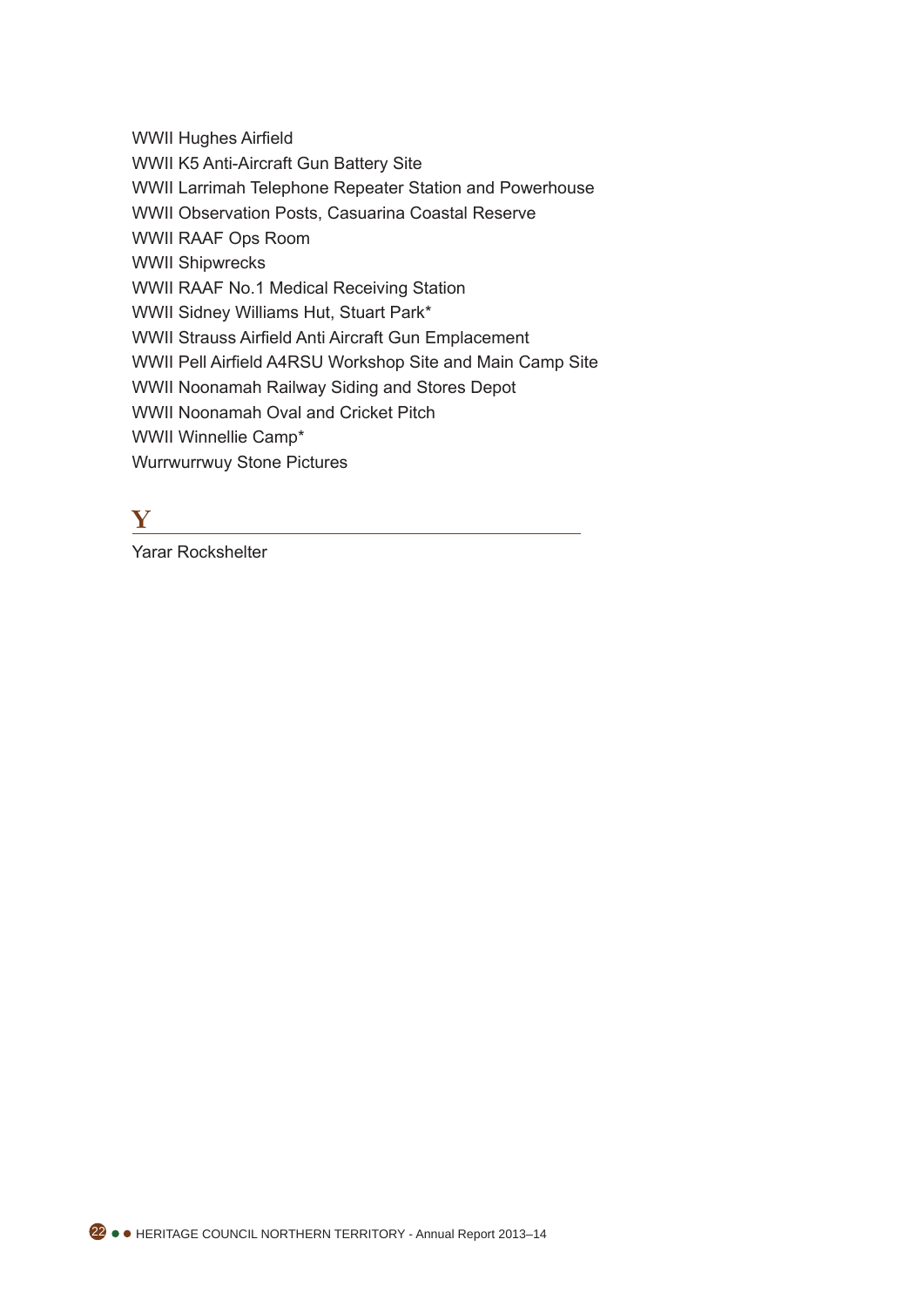WWII Hughes Airfield

WWII K5 Anti-Aircraft Gun Battery Site

WWII Larrimah Telephone Repeater Station and Powerhouse

WWII Observation Posts, Casuarina Coastal Reserve

WWII RAAF Ops Room

WWII Shipwrecks

WWII RAAF No.1 Medical Receiving Station

WWII Sidney Williams Hut, Stuart Park\*

WWII Strauss Airfield Anti Aircraft Gun Emplacement

WWII Pell Airfield A4RSU Workshop Site and Main Camp Site

WWII Noonamah Railway Siding and Stores Depot

WWII Noonamah Oval and Cricket Pitch

WWII Winnellie Camp\*

Wurrwurrwuy Stone Pictures

# **Y**

Yarar Rockshelter